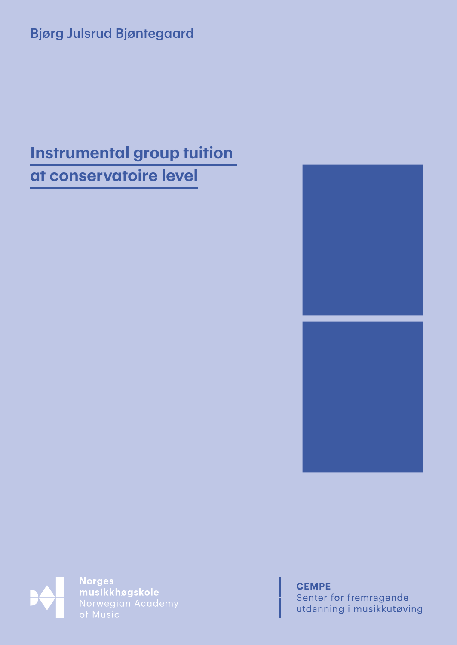## Bjørg Julsrud Bjøntegaard

# **Instrumental group tuition at conservatoire level**





**Norges** musikkhøgskole<br>Norwegian Academy

**CEMPE** Senter for fremragende utdanning i musikkutøving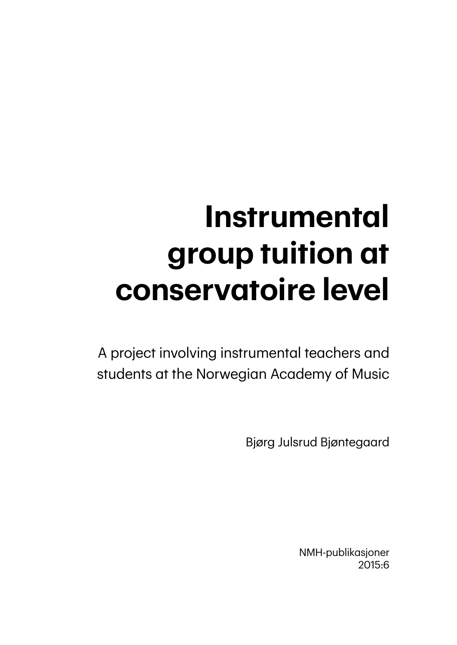# **Instrumental group tuition at conservatoire level**

A project involving instrumental teachers and students at the Norwegian Academy of Music

Bjørg Julsrud Bjøntegaard

NMH-publikasjoner 2015:6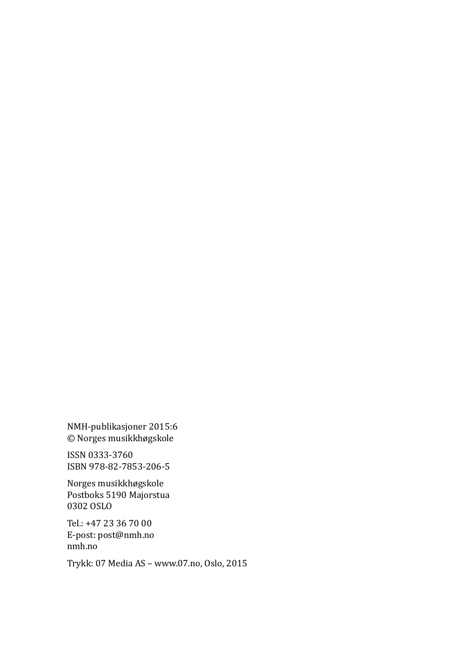NMH-publikasjoner 2015:6 © Norges musikkhøgskole

ISSN 0333-3760 ISBN 978-82-7853-206-5

Norges musikkhøgskole Postboks 5190 Majorstua 0302 OSLO

Tel.: +47 23 36 70 00 E-post: post@nmh.no nmh.no

Trykk: 07 Media AS – www.07.no, Oslo, 2015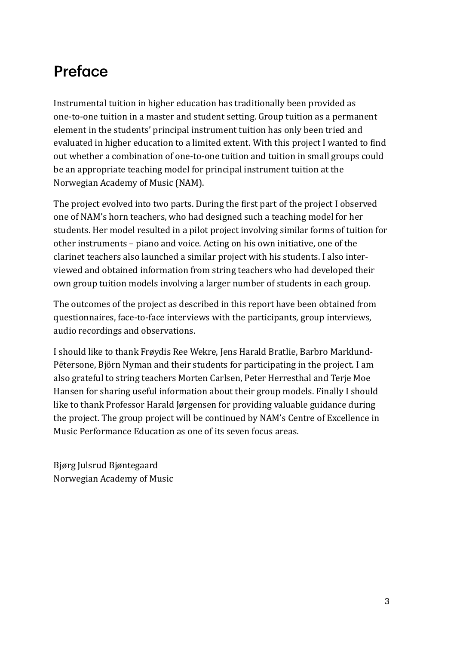# Preface

Instrumental tuition in higher education has traditionally been provided as one-to-one tuition in a master and student setting. Group tuition as a permanent element in the students' principal instrument tuition has only been tried and evaluated in higher education to a limited extent. With this project I wanted to find out whether a combination of one-to-one tuition and tuition in small groups could be an appropriate teaching model for principal instrument tuition at the Norwegian Academy of Music (NAM).

The project evolved into two parts. During the first part of the project I observed one of NAM's horn teachers, who had designed such a teaching model for her students. Her model resulted in a pilot project involving similar forms of tuition for other instruments – piano and voice. Acting on his own initiative, one of the clarinet teachers also launched a similar project with his students. I also interviewed and obtained information from string teachers who had developed their own group tuition models involving a larger number of students in each group.

The outcomes of the project as described in this report have been obtained from questionnaires, face-to-face interviews with the participants, group interviews, audio recordings and observations.

I should like to thank Frøydis Ree Wekre, Jens Harald Bratlie, Barbro Marklund-Pētersone, Björn Nyman and their students for participating in the project. I am also grateful to string teachers Morten Carlsen, Peter Herresthal and Terje Moe Hansen for sharing useful information about their group models. Finally I should like to thank Professor Harald Jørgensen for providing valuable guidance during the project. The group project will be continued by NAM's Centre of Excellence in Music Performance Education as one of its seven focus areas.

Bjørg Julsrud Bjøntegaard Norwegian Academy of Music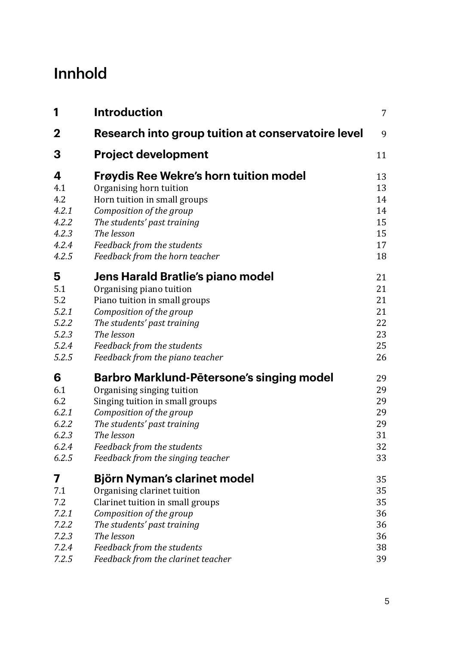# Innhold

| 1           | <b>Introduction</b>                                | $\overline{7}$ |
|-------------|----------------------------------------------------|----------------|
| $\mathbf 2$ | Research into group tuition at conservatoire level | 9              |
| 3           | <b>Project development</b>                         | 11             |
| 4           | <b>Frøydis Ree Wekre's horn tuition model</b>      | 13             |
| 4.1         | Organising horn tuition                            | 13             |
| 4.2         | Horn tuition in small groups                       | 14             |
| 4.2.1       | Composition of the group                           | 14             |
| 4.2.2       | The students' past training                        | 15             |
| 4.2.3       | The lesson                                         | 15             |
| 4.2.4       | Feedback from the students                         | 17             |
| 4.2.5       | Feedback from the horn teacher                     | 18             |
| 5           | Jens Harald Bratlie's piano model                  | 21             |
| 5.1         | Organising piano tuition                           | 21             |
| 5.2         | Piano tuition in small groups                      | 21             |
| 5.2.1       | Composition of the group                           | 21             |
| 5.2.2       | The students' past training                        | 22             |
| 5.2.3       | The lesson                                         | 23             |
| 5.2.4       | Feedback from the students                         | 25             |
| 5.2.5       | Feedback from the piano teacher                    | 26             |
| 6           | Barbro Marklund-Pētersone's singing model          | 29             |
| 6.1         | Organising singing tuition                         | 29             |
| 6.2         | Singing tuition in small groups                    | 29             |
| 6.2.1       | Composition of the group                           | 29             |
| 6.2.2       | The students' past training                        | 29             |
| 6.2.3       | The lesson                                         | 31             |
| 6.2.4       | Feedback from the students                         | 32             |
| 6.2.5       | Feedback from the singing teacher                  | 33             |
| 7           | Björn Nyman's clarinet model                       | 35             |
| 7.1         | Organising clarinet tuition                        | 35             |
| 7.2         | Clarinet tuition in small groups                   | 35             |
| 7.2.1       | Composition of the group                           | 36             |
| 7.2.2       | The students' past training                        | 36             |
| 7.2.3       | The lesson                                         | 36             |
| 7.2.4       | Feedback from the students                         | 38             |
| 7.2.5       | Feedback from the clarinet teacher                 | 39             |
|             |                                                    |                |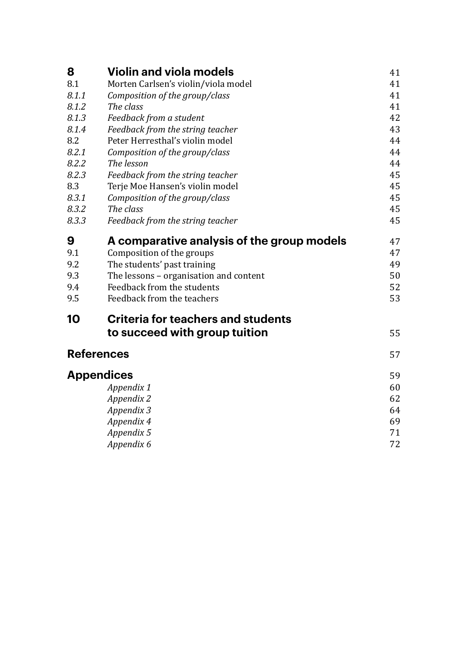| 8                 | <b>Violin and viola models</b>             | 41 |
|-------------------|--------------------------------------------|----|
| 8.1               | Morten Carlsen's violin/viola model        | 41 |
| 8.1.1             | Composition of the group/class             | 41 |
| 8.1.2             | The class                                  | 41 |
| 8.1.3             | Feedback from a student                    | 42 |
| 8.1.4             | Feedback from the string teacher           | 43 |
| 8.2               | Peter Herresthal's violin model            | 44 |
| 8.2.1             | Composition of the group/class             | 44 |
| 8.2.2             | The lesson                                 | 44 |
| 8.2.3             | Feedback from the string teacher           | 45 |
| 8.3               | Terje Moe Hansen's violin model            | 45 |
| 8.3.1             | Composition of the group/class             | 45 |
| 8.3.2             | The class                                  | 45 |
| 8.3.3             | Feedback from the string teacher           | 45 |
| 9                 | A comparative analysis of the group models | 47 |
| 9.1               | Composition of the groups                  | 47 |
| 9.2               | The students' past training                | 49 |
| 9.3               | The lessons - organisation and content     | 50 |
| 9.4               | Feedback from the students                 | 52 |
| 9.5               | Feedback from the teachers                 | 53 |
| 10                | <b>Criteria for teachers and students</b>  |    |
|                   | to succeed with group tuition              | 55 |
| <b>References</b> |                                            |    |
|                   | <b>Appendices</b>                          | 59 |
|                   | Appendix 1                                 | 60 |
|                   | Appendix 2                                 | 62 |
|                   | Appendix 3                                 | 64 |
|                   | Appendix 4                                 | 69 |
|                   | Appendix 5                                 | 71 |
|                   | Appendix 6                                 | 72 |
|                   |                                            |    |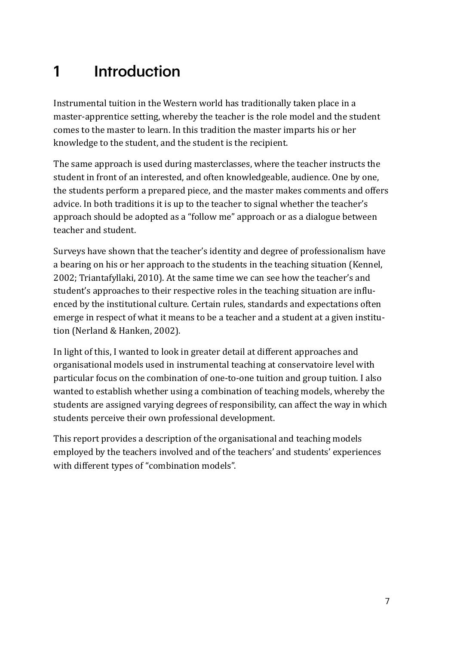# <span id="page-7-0"></span>1 Introduction

Instrumental tuition in the Western world has traditionally taken place in a master-apprentice setting, whereby the teacher is the role model and the student comes to the master to learn. In this tradition the master imparts his or her knowledge to the student, and the student is the recipient.

The same approach is used during masterclasses, where the teacher instructs the student in front of an interested, and often knowledgeable, audience. One by one, the students perform a prepared piece, and the master makes comments and offers advice. In both traditions it is up to the teacher to signal whether the teacher's approach should be adopted as a "follow me" approach or as a dialogue between teacher and student.

Surveys have shown that the teacher's identity and degree of professionalism have a bearing on his or her approach to the students in the teaching situation (Kennel, 2002; Triantafyllaki, 2010). At the same time we can see how the teacher's and student's approaches to their respective roles in the teaching situation are influenced by the institutional culture. Certain rules, standards and expectations often emerge in respect of what it means to be a teacher and a student at a given institution (Nerland & Hanken, 2002).

In light of this, I wanted to look in greater detail at different approaches and organisational models used in instrumental teaching at conservatoire level with particular focus on the combination of one-to-one tuition and group tuition. I also wanted to establish whether using a combination of teaching models, whereby the students are assigned varying degrees of responsibility, can affect the way in which students perceive their own professional development.

This report provides a description of the organisational and teaching models employed by the teachers involved and of the teachers' and students' experiences with different types of "combination models".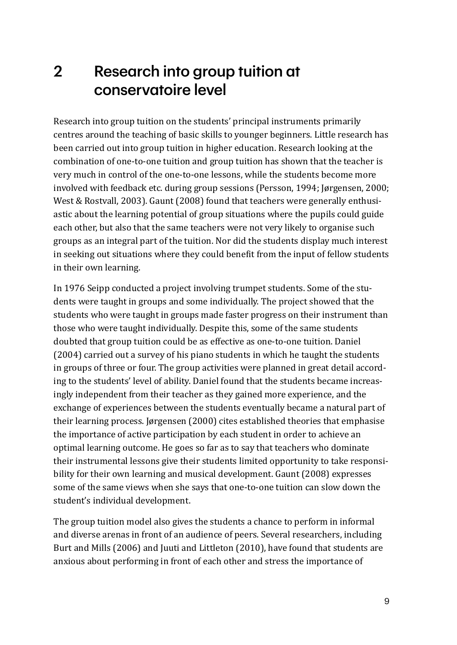## <span id="page-9-0"></span>2 Research into group tuition at conservatoire level

Research into group tuition on the students' principal instruments primarily centres around the teaching of basic skills to younger beginners. Little research has been carried out into group tuition in higher education. Research looking at the combination of one-to-one tuition and group tuition has shown that the teacher is very much in control of the one-to-one lessons, while the students become more involved with feedback etc. during group sessions (Persson, 1994; Jørgensen, 2000; West & Rostvall, 2003). Gaunt (2008) found that teachers were generally enthusiastic about the learning potential of group situations where the pupils could guide each other, but also that the same teachers were not very likely to organise such groups as an integral part of the tuition. Nor did the students display much interest in seeking out situations where they could benefit from the input of fellow students in their own learning.

In 1976 Seipp conducted a project involving trumpet students. Some of the students were taught in groups and some individually. The project showed that the students who were taught in groups made faster progress on their instrument than those who were taught individually. Despite this, some of the same students doubted that group tuition could be as effective as one-to-one tuition. Daniel (2004) carried out a survey of his piano students in which he taught the students in groups of three or four. The group activities were planned in great detail according to the students' level of ability. Daniel found that the students became increasingly independent from their teacher as they gained more experience, and the exchange of experiences between the students eventually became a natural part of their learning process. Jørgensen (2000) cites established theories that emphasise the importance of active participation by each student in order to achieve an optimal learning outcome. He goes so far as to say that teachers who dominate their instrumental lessons give their students limited opportunity to take responsibility for their own learning and musical development. Gaunt (2008) expresses some of the same views when she says that one-to-one tuition can slow down the student's individual development.

The group tuition model also gives the students a chance to perform in informal and diverse arenas in front of an audience of peers. Several researchers, including Burt and Mills (2006) and Juuti and Littleton (2010), have found that students are anxious about performing in front of each other and stress the importance of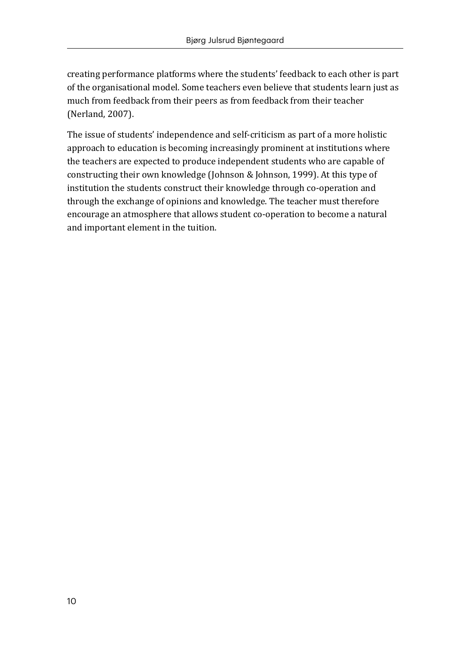creating performance platforms where the students' feedback to each other is part of the organisational model. Some teachers even believe that students learn just as much from feedback from their peers as from feedback from their teacher (Nerland, 2007).

The issue of students' independence and self-criticism as part of a more holistic approach to education is becoming increasingly prominent at institutions where the teachers are expected to produce independent students who are capable of constructing their own knowledge (Johnson & Johnson, 1999). At this type of institution the students construct their knowledge through co-operation and through the exchange of opinions and knowledge. The teacher must therefore encourage an atmosphere that allows student co-operation to become a natural and important element in the tuition.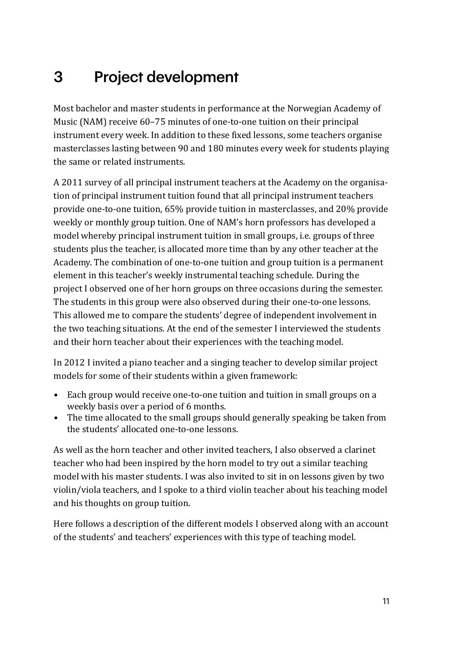# <span id="page-11-0"></span>3 Project development

Most bachelor and master students in performance at the Norwegian Academy of Music (NAM) receive 60–75 minutes of one-to-one tuition on their principal instrument every week. In addition to these fixed lessons, some teachers organise masterclasses lasting between 90 and 180 minutes every week for students playing the same or related instruments.

A 2011 survey of all principal instrument teachers at the Academy on the organisation of principal instrument tuition found that all principal instrument teachers provide one-to-one tuition, 65% provide tuition in masterclasses, and 20% provide weekly or monthly group tuition. One of NAM's horn professors has developed a model whereby principal instrument tuition in small groups, i.e. groups of three students plus the teacher, is allocated more time than by any other teacher at the Academy. The combination of one-to-one tuition and group tuition is a permanent element in this teacher's weekly instrumental teaching schedule. During the project I observed one of her horn groups on three occasions during the semester. The students in this group were also observed during their one-to-one lessons. This allowed me to compare the students' degree of independent involvement in the two teaching situations. At the end of the semester I interviewed the students and their horn teacher about their experiences with the teaching model.

In 2012 I invited a piano teacher and a singing teacher to develop similar project models for some of their students within a given framework:

- *•* Each group would receive one-to-one tuition and tuition in small groups on a weekly basis over a period of 6 months.
- *•* The time allocated to the small groups should generally speaking be taken from the students' allocated one-to-one lessons.

As well as the horn teacher and other invited teachers, I also observed a clarinet teacher who had been inspired by the horn model to try out a similar teaching model with his master students. I was also invited to sit in on lessons given by two violin/viola teachers, and I spoke to a third violin teacher about his teaching model and his thoughts on group tuition.

Here follows a description of the different models I observed along with an account of the students' and teachers' experiences with this type of teaching model.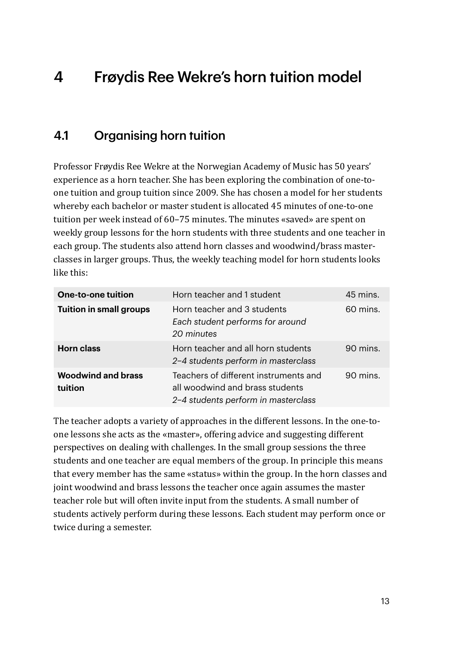# <span id="page-13-0"></span>4 Frøydis Ree Wekre's horn tuition model

## 4.1 Organising horn tuition

Professor Frøydis Ree Wekre at the Norwegian Academy of Music has 50 years' experience as a horn teacher. She has been exploring the combination of one-toone tuition and group tuition since 2009. She has chosen a model for her students whereby each bachelor or master student is allocated 45 minutes of one-to-one tuition per week instead of 60–75 minutes. The minutes «saved» are spent on weekly group lessons for the horn students with three students and one teacher in each group. The students also attend horn classes and woodwind/brass masterclasses in larger groups. Thus, the weekly teaching model for horn students looks like this:

| <b>One-to-one tuition</b>            | Horn teacher and 1 student                                                                                      | 45 mins. |
|--------------------------------------|-----------------------------------------------------------------------------------------------------------------|----------|
| <b>Tuition in small groups</b>       | Horn teacher and 3 students<br>Each student performs for around<br>20 minutes                                   | 60 mins. |
| <b>Horn class</b>                    | Horn teacher and all horn students<br>2-4 students perform in masterclass                                       | 90 mins. |
| <b>Woodwind and brass</b><br>tuition | Teachers of different instruments and<br>all woodwind and brass students<br>2-4 students perform in masterclass | 90 mins. |

The teacher adopts a variety of approaches in the different lessons. In the one-toone lessons she acts as the «master», offering advice and suggesting different perspectives on dealing with challenges. In the small group sessions the three students and one teacher are equal members of the group. In principle this means that every member has the same «status» within the group. In the horn classes and joint woodwind and brass lessons the teacher once again assumes the master teacher role but will often invite input from the students. A small number of students actively perform during these lessons. Each student may perform once or twice during a semester.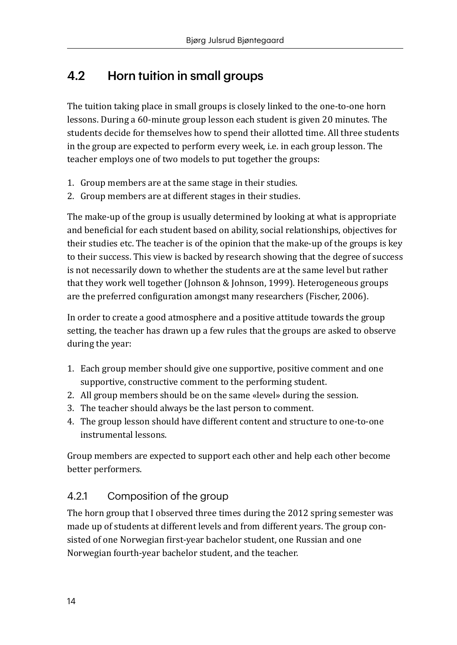## <span id="page-14-0"></span>4.2 Horn tuition in small groups

The tuition taking place in small groups is closely linked to the one-to-one horn lessons. During a 60-minute group lesson each student is given 20 minutes. The students decide for themselves how to spend their allotted time. All three students in the group are expected to perform every week, i.e. in each group lesson. The teacher employs one of two models to put together the groups:

- 1. Group members are at the same stage in their studies.
- 2. Group members are at different stages in their studies.

The make-up of the group is usually determined by looking at what is appropriate and beneficial for each student based on ability, social relationships, objectives for their studies etc. The teacher is of the opinion that the make-up of the groups is key to their success. This view is backed by research showing that the degree of success is not necessarily down to whether the students are at the same level but rather that they work well together (Johnson & Johnson, 1999). Heterogeneous groups are the preferred configuration amongst many researchers (Fischer, 2006).

In order to create a good atmosphere and a positive attitude towards the group setting, the teacher has drawn up a few rules that the groups are asked to observe during the year:

- 1. Each group member should give one supportive, positive comment and one supportive, constructive comment to the performing student.
- 2. All group members should be on the same «level» during the session.
- 3. The teacher should always be the last person to comment.
- 4. The group lesson should have different content and structure to one-to-one instrumental lessons.

Group members are expected to support each other and help each other become better performers.

#### 4.2.1 Composition of the group

The horn group that I observed three times during the 2012 spring semester was made up of students at different levels and from different years. The group consisted of one Norwegian first-year bachelor student, one Russian and one Norwegian fourth-year bachelor student, and the teacher.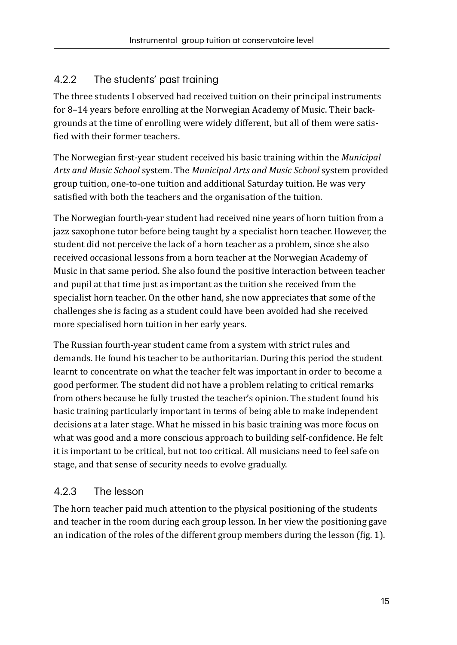## <span id="page-15-0"></span>4.2.2 The students' past training

The three students I observed had received tuition on their principal instruments for 8–14 years before enrolling at the Norwegian Academy of Music. Their backgrounds at the time of enrolling were widely different, but all of them were satisfied with their former teachers.

The Norwegian first-year student received his basic training within the *Municipal Arts and Music School* system. The *Municipal Arts and Music School* system provided group tuition, one-to-one tuition and additional Saturday tuition. He was very satisfied with both the teachers and the organisation of the tuition.

The Norwegian fourth-year student had received nine years of horn tuition from a jazz saxophone tutor before being taught by a specialist horn teacher. However, the student did not perceive the lack of a horn teacher as a problem, since she also received occasional lessons from a horn teacher at the Norwegian Academy of Music in that same period. She also found the positive interaction between teacher and pupil at that time just as important as the tuition she received from the specialist horn teacher. On the other hand, she now appreciates that some of the challenges she is facing as a student could have been avoided had she received more specialised horn tuition in her early years.

The Russian fourth-year student came from a system with strict rules and demands. He found his teacher to be authoritarian. During this period the student learnt to concentrate on what the teacher felt was important in order to become a good performer. The student did not have a problem relating to critical remarks from others because he fully trusted the teacher's opinion. The student found his basic training particularly important in terms of being able to make independent decisions at a later stage. What he missed in his basic training was more focus on what was good and a more conscious approach to building self-confidence. He felt it is important to be critical, but not too critical. All musicians need to feel safe on stage, and that sense of security needs to evolve gradually.

## 4.2.3 The lesson

The horn teacher paid much attention to the physical positioning of the students and teacher in the room during each group lesson. In her view the positioning gave an indication of the roles of the different group members during the lesson (fig. 1).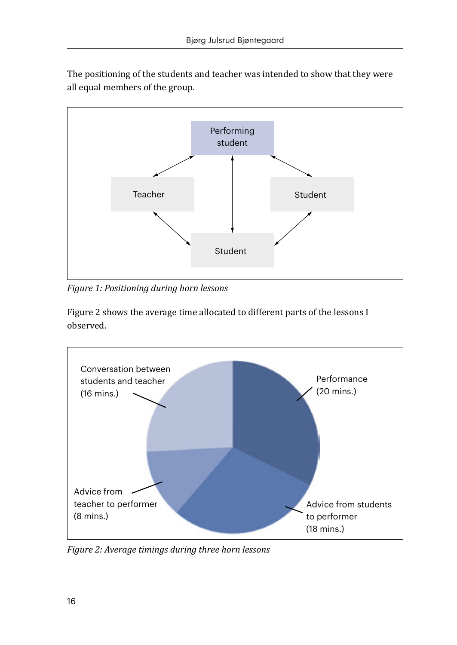The positioning of the students and teacher was intended to show that they were all equal members of the group.



*Figure 1: Positioning during horn lessons* 

Figure 2 shows the average time allocated to different parts of the lessons I observed.



*Figure 2: Average timings during three horn lessons*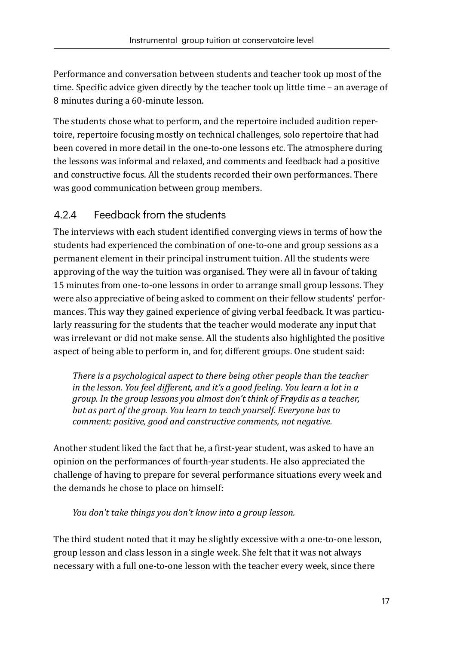<span id="page-17-0"></span>Performance and conversation between students and teacher took up most of the time. Specific advice given directly by the teacher took up little time – an average of 8 minutes during a 60-minute lesson.

The students chose what to perform, and the repertoire included audition repertoire, repertoire focusing mostly on technical challenges, solo repertoire that had been covered in more detail in the one-to-one lessons etc. The atmosphere during the lessons was informal and relaxed, and comments and feedback had a positive and constructive focus. All the students recorded their own performances. There was good communication between group members.

#### 4.2.4 Feedback from the students

The interviews with each student identified converging views in terms of how the students had experienced the combination of one-to-one and group sessions as a permanent element in their principal instrument tuition. All the students were approving of the way the tuition was organised. They were all in favour of taking 15 minutes from one-to-one lessons in order to arrange small group lessons. They were also appreciative of being asked to comment on their fellow students' performances. This way they gained experience of giving verbal feedback. It was particularly reassuring for the students that the teacher would moderate any input that was irrelevant or did not make sense. All the students also highlighted the positive aspect of being able to perform in, and for, different groups. One student said:

*There is a psychological aspect to there being other people than the teacher in the lesson. You feel different, and it's a good feeling. You learn a lot in a group. In the group lessons you almost don't think of Frøydis as a teacher, but as part of the group. You learn to teach yourself. Everyone has to comment: positive, good and constructive comments, not negative.* 

Another student liked the fact that he, a first-year student, was asked to have an opinion on the performances of fourth-year students. He also appreciated the challenge of having to prepare for several performance situations every week and the demands he chose to place on himself:

#### *You don't take things you don't know into a group lesson.*

The third student noted that it may be slightly excessive with a one-to-one lesson, group lesson and class lesson in a single week. She felt that it was not always necessary with a full one-to-one lesson with the teacher every week, since there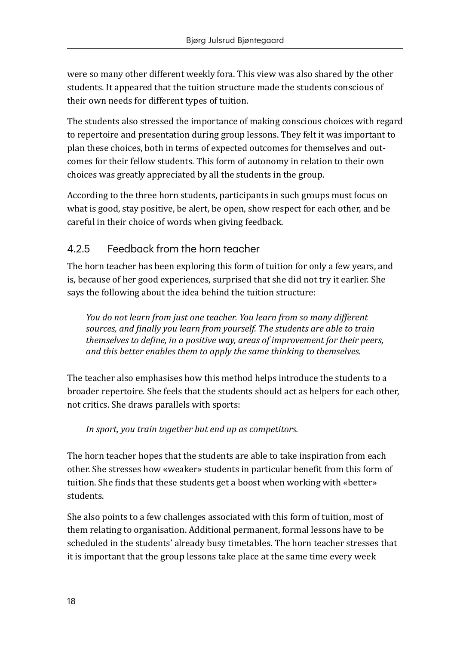<span id="page-18-0"></span>were so many other different weekly fora. This view was also shared by the other students. It appeared that the tuition structure made the students conscious of their own needs for different types of tuition.

The students also stressed the importance of making conscious choices with regard to repertoire and presentation during group lessons. They felt it was important to plan these choices, both in terms of expected outcomes for themselves and outcomes for their fellow students. This form of autonomy in relation to their own choices was greatly appreciated by all the students in the group.

According to the three horn students, participants in such groups must focus on what is good, stay positive, be alert, be open, show respect for each other, and be careful in their choice of words when giving feedback.

### 4.2.5 Feedback from the horn teacher

The horn teacher has been exploring this form of tuition for only a few years, and is, because of her good experiences, surprised that she did not try it earlier. She says the following about the idea behind the tuition structure:

*You do not learn from just one teacher. You learn from so many different sources, and finally you learn from yourself. The students are able to train themselves to define, in a positive way, areas of improvement for their peers, and this better enables them to apply the same thinking to themselves.* 

The teacher also emphasises how this method helps introduce the students to a broader repertoire. She feels that the students should act as helpers for each other, not critics. She draws parallels with sports:

*In sport, you train together but end up as competitors.* 

The horn teacher hopes that the students are able to take inspiration from each other. She stresses how «weaker» students in particular benefit from this form of tuition. She finds that these students get a boost when working with «better» students.

She also points to a few challenges associated with this form of tuition, most of them relating to organisation. Additional permanent, formal lessons have to be scheduled in the students' already busy timetables. The horn teacher stresses that it is important that the group lessons take place at the same time every week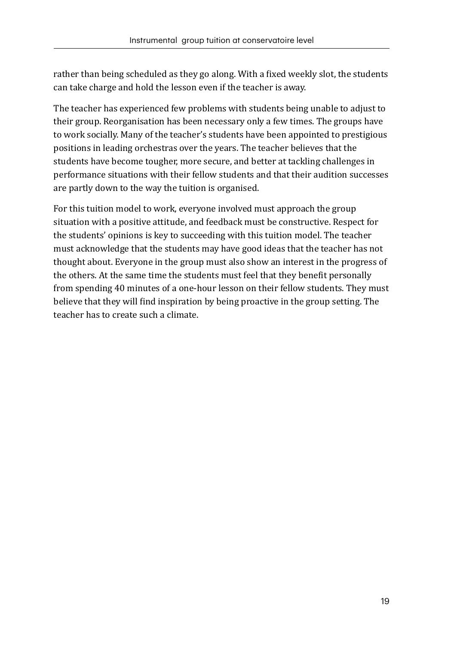rather than being scheduled as they go along. With a fixed weekly slot, the students can take charge and hold the lesson even if the teacher is away.

The teacher has experienced few problems with students being unable to adjust to their group. Reorganisation has been necessary only a few times. The groups have to work socially. Many of the teacher's students have been appointed to prestigious positions in leading orchestras over the years. The teacher believes that the students have become tougher, more secure, and better at tackling challenges in performance situations with their fellow students and that their audition successes are partly down to the way the tuition is organised.

For this tuition model to work, everyone involved must approach the group situation with a positive attitude, and feedback must be constructive. Respect for the students' opinions is key to succeeding with this tuition model. The teacher must acknowledge that the students may have good ideas that the teacher has not thought about. Everyone in the group must also show an interest in the progress of the others. At the same time the students must feel that they benefit personally from spending 40 minutes of a one-hour lesson on their fellow students. They must believe that they will find inspiration by being proactive in the group setting. The teacher has to create such a climate.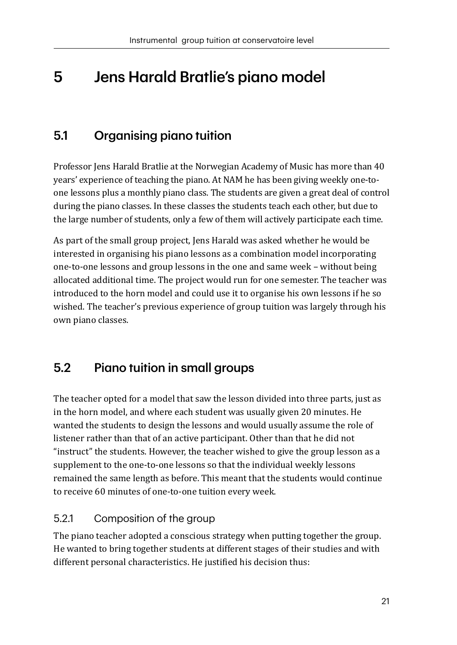# <span id="page-21-0"></span>5 Jens Harald Bratlie's piano model

## 5.1 Organising piano tuition

Professor Jens Harald Bratlie at the Norwegian Academy of Music has more than 40 years' experience of teaching the piano. At NAM he has been giving weekly one-toone lessons plus a monthly piano class. The students are given a great deal of control during the piano classes. In these classes the students teach each other, but due to the large number of students, only a few of them will actively participate each time.

As part of the small group project, Jens Harald was asked whether he would be interested in organising his piano lessons as a combination model incorporating one-to-one lessons and group lessons in the one and same week – without being allocated additional time. The project would run for one semester. The teacher was introduced to the horn model and could use it to organise his own lessons if he so wished. The teacher's previous experience of group tuition was largely through his own piano classes.

## 5.2 Piano tuition in small groups

The teacher opted for a model that saw the lesson divided into three parts, just as in the horn model, and where each student was usually given 20 minutes. He wanted the students to design the lessons and would usually assume the role of listener rather than that of an active participant. Other than that he did not "instruct" the students. However, the teacher wished to give the group lesson as a supplement to the one-to-one lessons so that the individual weekly lessons remained the same length as before. This meant that the students would continue to receive 60 minutes of one-to-one tuition every week.

## 5.2.1 Composition of the group

The piano teacher adopted a conscious strategy when putting together the group. He wanted to bring together students at different stages of their studies and with different personal characteristics. He justified his decision thus: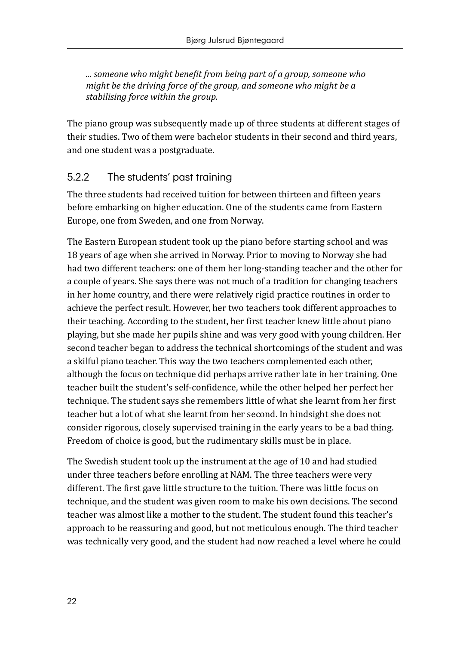<span id="page-22-0"></span>*... someone who might benefit from being part of a group, someone who might be the driving force of the group, and someone who might be a stabilising force within the group.* 

The piano group was subsequently made up of three students at different stages of their studies. Two of them were bachelor students in their second and third years, and one student was a postgraduate.

#### 5.2.2 The students' past training

The three students had received tuition for between thirteen and fifteen years before embarking on higher education. One of the students came from Eastern Europe, one from Sweden, and one from Norway.

The Eastern European student took up the piano before starting school and was 18 years of age when she arrived in Norway. Prior to moving to Norway she had had two different teachers: one of them her long-standing teacher and the other for a couple of years. She says there was not much of a tradition for changing teachers in her home country, and there were relatively rigid practice routines in order to achieve the perfect result. However, her two teachers took different approaches to their teaching. According to the student, her first teacher knew little about piano playing, but she made her pupils shine and was very good with young children. Her second teacher began to address the technical shortcomings of the student and was a skilful piano teacher. This way the two teachers complemented each other, although the focus on technique did perhaps arrive rather late in her training. One teacher built the student's self-confidence, while the other helped her perfect her technique. The student says she remembers little of what she learnt from her first teacher but a lot of what she learnt from her second. In hindsight she does not consider rigorous, closely supervised training in the early years to be a bad thing. Freedom of choice is good, but the rudimentary skills must be in place.

The Swedish student took up the instrument at the age of 10 and had studied under three teachers before enrolling at NAM. The three teachers were very different. The first gave little structure to the tuition. There was little focus on technique, and the student was given room to make his own decisions. The second teacher was almost like a mother to the student. The student found this teacher's approach to be reassuring and good, but not meticulous enough. The third teacher was technically very good, and the student had now reached a level where he could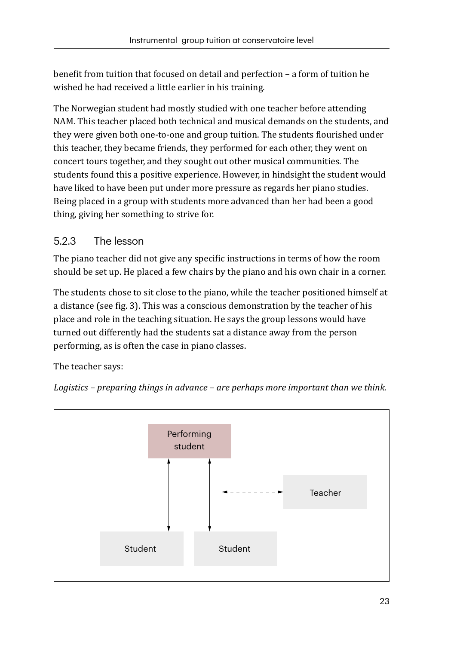<span id="page-23-0"></span>benefit from tuition that focused on detail and perfection – a form of tuition he wished he had received a little earlier in his training.

The Norwegian student had mostly studied with one teacher before attending NAM. This teacher placed both technical and musical demands on the students, and they were given both one-to-one and group tuition. The students flourished under this teacher, they became friends, they performed for each other, they went on concert tours together, and they sought out other musical communities. The students found this a positive experience. However, in hindsight the student would have liked to have been put under more pressure as regards her piano studies. Being placed in a group with students more advanced than her had been a good thing, giving her something to strive for.

#### 5.2.3 The lesson

The piano teacher did not give any specific instructions in terms of how the room should be set up. He placed a few chairs by the piano and his own chair in a corner.

The students chose to sit close to the piano, while the teacher positioned himself at a distance (see fig. 3). This was a conscious demonstration by the teacher of his place and role in the teaching situation. He says the group lessons would have turned out differently had the students sat a distance away from the person performing, as is often the case in piano classes.

The teacher says:

*Logistics – preparing things in advance – are perhaps more important than we think.*

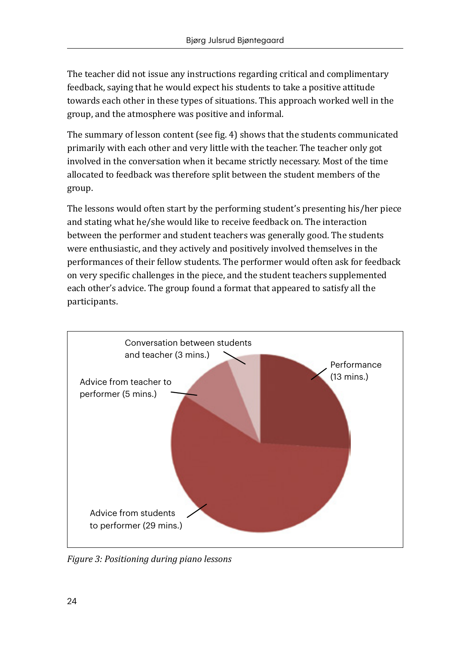The teacher did not issue any instructions regarding critical and complimentary feedback, saying that he would expect his students to take a positive attitude towards each other in these types of situations. This approach worked well in the group, and the atmosphere was positive and informal.

The summary of lesson content (see fig. 4) shows that the students communicated primarily with each other and very little with the teacher. The teacher only got involved in the conversation when it became strictly necessary. Most of the time allocated to feedback was therefore split between the student members of the group.

The lessons would often start by the performing student's presenting his/her piece and stating what he/she would like to receive feedback on. The interaction between the performer and student teachers was generally good. The students were enthusiastic, and they actively and positively involved themselves in the performances of their fellow students. The performer would often ask for feedback on very specific challenges in the piece, and the student teachers supplemented each other's advice. The group found a format that appeared to satisfy all the participants.



*Figure 3: Positioning during piano lessons*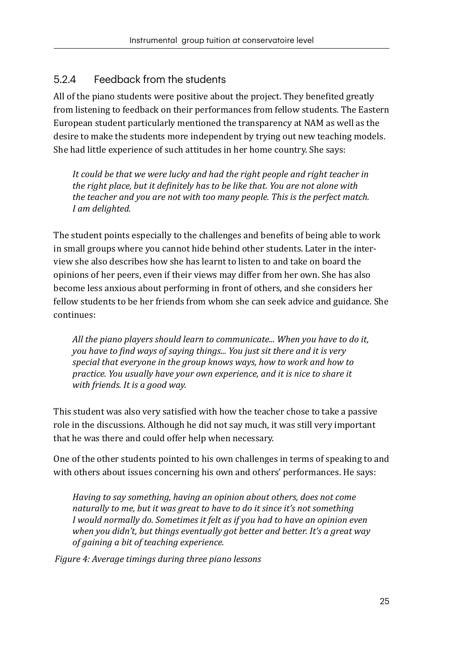#### <span id="page-25-0"></span>5.2.4 Feedback from the students

All of the piano students were positive about the project. They benefited greatly from listening to feedback on their performances from fellow students. The Eastern European student particularly mentioned the transparency at NAM as well as the desire to make the students more independent by trying out new teaching models. She had little experience of such attitudes in her home country. She says:

*It could be that we were lucky and had the right people and right teacher in the right place, but it definitely has to be like that. You are not alone with the teacher and you are not with too many people. This is the perfect match. I am delighted.* 

The student points especially to the challenges and benefits of being able to work in small groups where you cannot hide behind other students. Later in the interview she also describes how she has learnt to listen to and take on board the opinions of her peers, even if their views may differ from her own. She has also become less anxious about performing in front of others, and she considers her fellow students to be her friends from whom she can seek advice and guidance. She continues:

*All the piano players should learn to communicate... When you have to do it, you have to find ways of saying things... You just sit there and it is very special that everyone in the group knows ways, how to work and how to practice. You usually have your own experience, and it is nice to share it with friends. It is a good way.* 

This student was also very satisfied with how the teacher chose to take a passive role in the discussions. Although he did not say much, it was still very important that he was there and could offer help when necessary.

One of the other students pointed to his own challenges in terms of speaking to and with others about issues concerning his own and others' performances. He says:

*Having to say something, having an opinion about others, does not come naturally to me, but it was great to have to do it since it's not something I would normally do. Sometimes it felt as if you had to have an opinion even when you didn't, but things eventually got better and better. It's a great way of gaining a bit of teaching experience.* 

*Figure 4: Average timings during three piano lessons*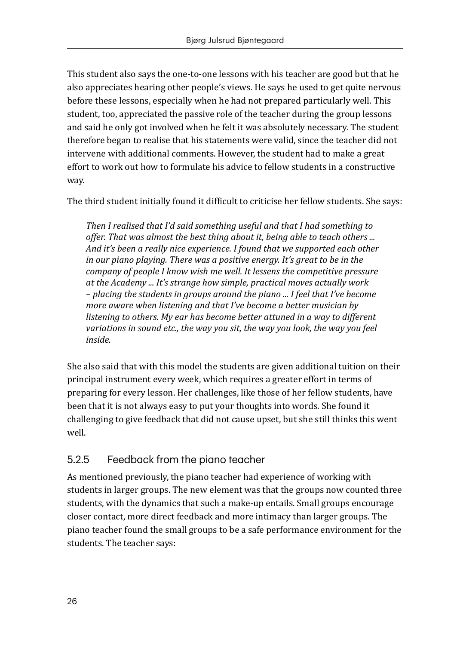<span id="page-26-0"></span>This student also says the one-to-one lessons with his teacher are good but that he also appreciates hearing other people's views. He says he used to get quite nervous before these lessons, especially when he had not prepared particularly well. This student, too, appreciated the passive role of the teacher during the group lessons and said he only got involved when he felt it was absolutely necessary. The student therefore began to realise that his statements were valid, since the teacher did not intervene with additional comments. However, the student had to make a great effort to work out how to formulate his advice to fellow students in a constructive way.

The third student initially found it difficult to criticise her fellow students. She says:

*Then I realised that I'd said something useful and that I had something to offer. That was almost the best thing about it, being able to teach others ... And it's been a really nice experience. I found that we supported each other in our piano playing. There was a positive energy. It's great to be in the company of people I know wish me well. It lessens the competitive pressure at the Academy ... It's strange how simple, practical moves actually work – placing the students in groups around the piano ... I feel that I've become more aware when listening and that I've become a better musician by listening to others. My ear has become better attuned in a way to different variations in sound etc., the way you sit, the way you look, the way you feel inside.* 

She also said that with this model the students are given additional tuition on their principal instrument every week, which requires a greater effort in terms of preparing for every lesson. Her challenges, like those of her fellow students, have been that it is not always easy to put your thoughts into words. She found it challenging to give feedback that did not cause upset, but she still thinks this went well.

#### 5.2.5 Feedback from the piano teacher

As mentioned previously, the piano teacher had experience of working with students in larger groups. The new element was that the groups now counted three students, with the dynamics that such a make-up entails. Small groups encourage closer contact, more direct feedback and more intimacy than larger groups. The piano teacher found the small groups to be a safe performance environment for the students. The teacher says: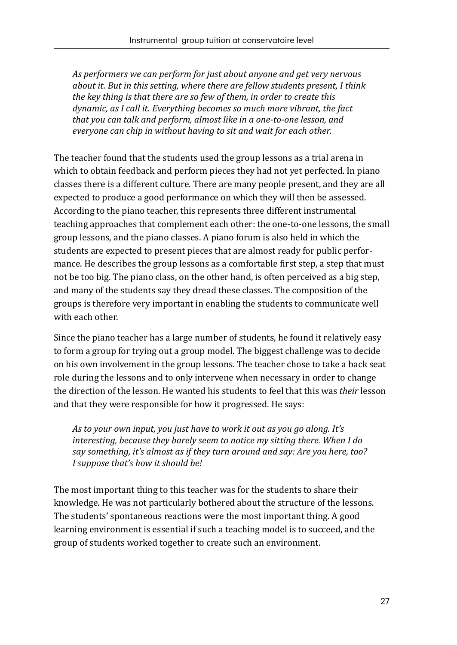*As performers we can perform for just about anyone and get very nervous about it. But in this setting, where there are fellow students present, I think the key thing is that there are so few of them, in order to create this dynamic, as I call it. Everything becomes so much more vibrant, the fact that you can talk and perform, almost like in a one-to-one lesson, and everyone can chip in without having to sit and wait for each other.* 

The teacher found that the students used the group lessons as a trial arena in which to obtain feedback and perform pieces they had not yet perfected. In piano classes there is a different culture. There are many people present, and they are all expected to produce a good performance on which they will then be assessed. According to the piano teacher, this represents three different instrumental teaching approaches that complement each other: the one-to-one lessons, the small group lessons, and the piano classes. A piano forum is also held in which the students are expected to present pieces that are almost ready for public performance. He describes the group lessons as a comfortable first step, a step that must not be too big. The piano class, on the other hand, is often perceived as a big step, and many of the students say they dread these classes. The composition of the groups is therefore very important in enabling the students to communicate well with each other.

Since the piano teacher has a large number of students, he found it relatively easy to form a group for trying out a group model. The biggest challenge was to decide on his own involvement in the group lessons. The teacher chose to take a back seat role during the lessons and to only intervene when necessary in order to change the direction of the lesson. He wanted his students to feel that this was *their* lesson and that they were responsible for how it progressed. He says:

*As to your own input, you just have to work it out as you go along. It's interesting, because they barely seem to notice my sitting there. When I do say something, it's almost as if they turn around and say: Are you here, too? I suppose that's how it should be!* 

The most important thing to this teacher was for the students to share their knowledge. He was not particularly bothered about the structure of the lessons. The students' spontaneous reactions were the most important thing. A good learning environment is essential if such a teaching model is to succeed, and the group of students worked together to create such an environment.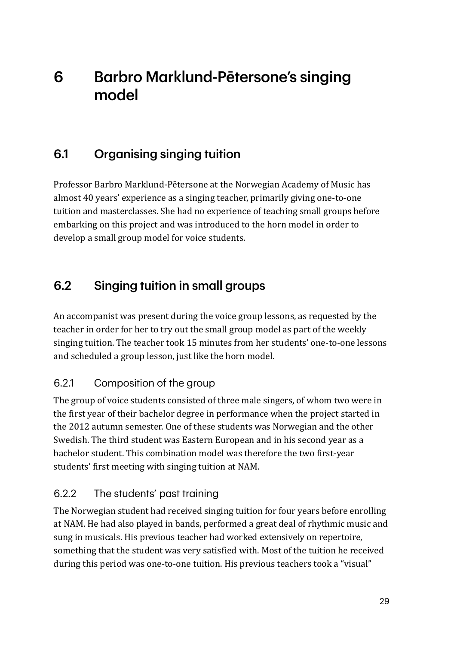# <span id="page-29-0"></span>6 Barbro Marklund-Pētersone's singing model

## 6.1 Organising singing tuition

Professor Barbro Marklund-Pētersone at the Norwegian Academy of Music has almost 40 years' experience as a singing teacher, primarily giving one-to-one tuition and masterclasses. She had no experience of teaching small groups before embarking on this project and was introduced to the horn model in order to develop a small group model for voice students.

## 6.2 Singing tuition in small groups

An accompanist was present during the voice group lessons, as requested by the teacher in order for her to try out the small group model as part of the weekly singing tuition. The teacher took 15 minutes from her students' one-to-one lessons and scheduled a group lesson, just like the horn model.

## 6.2.1 Composition of the group

The group of voice students consisted of three male singers, of whom two were in the first year of their bachelor degree in performance when the project started in the 2012 autumn semester. One of these students was Norwegian and the other Swedish. The third student was Eastern European and in his second year as a bachelor student. This combination model was therefore the two first-year students' first meeting with singing tuition at NAM.

## 6.2.2 The students' past training

The Norwegian student had received singing tuition for four years before enrolling at NAM. He had also played in bands, performed a great deal of rhythmic music and sung in musicals. His previous teacher had worked extensively on repertoire, something that the student was very satisfied with. Most of the tuition he received during this period was one-to-one tuition. His previous teachers took a "visual"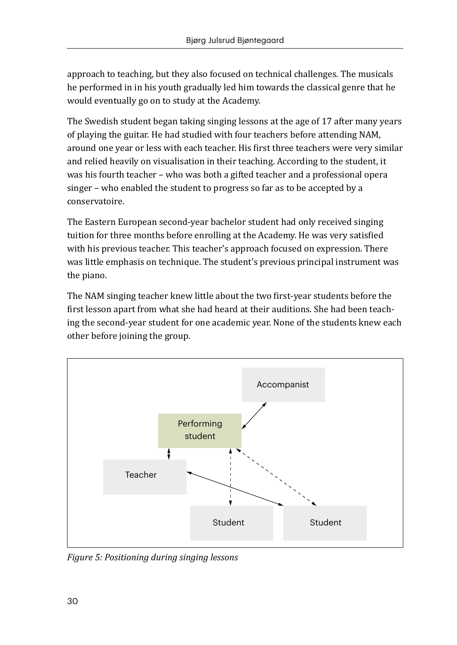approach to teaching, but they also focused on technical challenges. The musicals he performed in in his youth gradually led him towards the classical genre that he would eventually go on to study at the Academy.

The Swedish student began taking singing lessons at the age of 17 after many years of playing the guitar. He had studied with four teachers before attending NAM, around one year or less with each teacher. His first three teachers were very similar and relied heavily on visualisation in their teaching. According to the student, it was his fourth teacher – who was both a gifted teacher and a professional opera singer – who enabled the student to progress so far as to be accepted by a conservatoire.

The Eastern European second-year bachelor student had only received singing tuition for three months before enrolling at the Academy. He was very satisfied with his previous teacher. This teacher's approach focused on expression. There was little emphasis on technique. The student's previous principal instrument was the piano.

The NAM singing teacher knew little about the two first-year students before the first lesson apart from what she had heard at their auditions. She had been teaching the second-year student for one academic year. None of the students knew each other before joining the group.



*Figure 5: Positioning during singing lessons*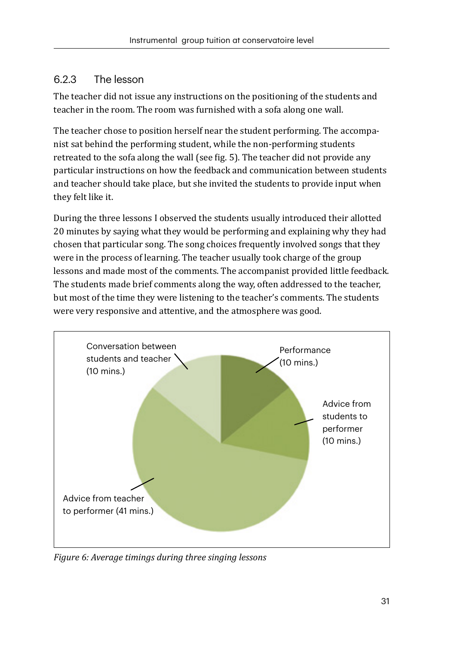#### <span id="page-31-0"></span>6.2.3 The lesson

The teacher did not issue any instructions on the positioning of the students and teacher in the room. The room was furnished with a sofa along one wall.

The teacher chose to position herself near the student performing. The accompanist sat behind the performing student, while the non-performing students retreated to the sofa along the wall (see fig. 5). The teacher did not provide any particular instructions on how the feedback and communication between students and teacher should take place, but she invited the students to provide input when they felt like it.

During the three lessons I observed the students usually introduced their allotted 20 minutes by saying what they would be performing and explaining why they had chosen that particular song. The song choices frequently involved songs that they were in the process of learning. The teacher usually took charge of the group lessons and made most of the comments. The accompanist provided little feedback. The students made brief comments along the way, often addressed to the teacher, but most of the time they were listening to the teacher's comments. The students were very responsive and attentive, and the atmosphere was good.



*Figure 6: Average timings during three singing lessons*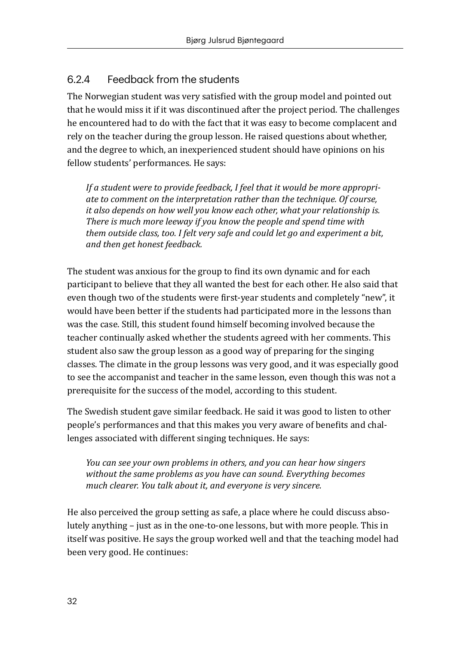#### <span id="page-32-0"></span>6.2.4 Feedback from the students

The Norwegian student was very satisfied with the group model and pointed out that he would miss it if it was discontinued after the project period. The challenges he encountered had to do with the fact that it was easy to become complacent and rely on the teacher during the group lesson. He raised questions about whether, and the degree to which, an inexperienced student should have opinions on his fellow students' performances. He says:

*If a student were to provide feedback, I feel that it would be more appropriate to comment on the interpretation rather than the technique. Of course, it also depends on how well you know each other, what your relationship is. There is much more leeway if you know the people and spend time with them outside class, too. I felt very safe and could let go and experiment a bit, and then get honest feedback.*

The student was anxious for the group to find its own dynamic and for each participant to believe that they all wanted the best for each other. He also said that even though two of the students were first-year students and completely "new", it would have been better if the students had participated more in the lessons than was the case. Still, this student found himself becoming involved because the teacher continually asked whether the students agreed with her comments. This student also saw the group lesson as a good way of preparing for the singing classes. The climate in the group lessons was very good, and it was especially good to see the accompanist and teacher in the same lesson, even though this was not a prerequisite for the success of the model, according to this student.

The Swedish student gave similar feedback. He said it was good to listen to other people's performances and that this makes you very aware of benefits and challenges associated with different singing techniques. He says:

*You can see your own problems in others, and you can hear how singers without the same problems as you have can sound. Everything becomes much clearer. You talk about it, and everyone is very sincere.*

He also perceived the group setting as safe, a place where he could discuss absolutely anything – just as in the one-to-one lessons, but with more people. This in itself was positive. He says the group worked well and that the teaching model had been very good. He continues: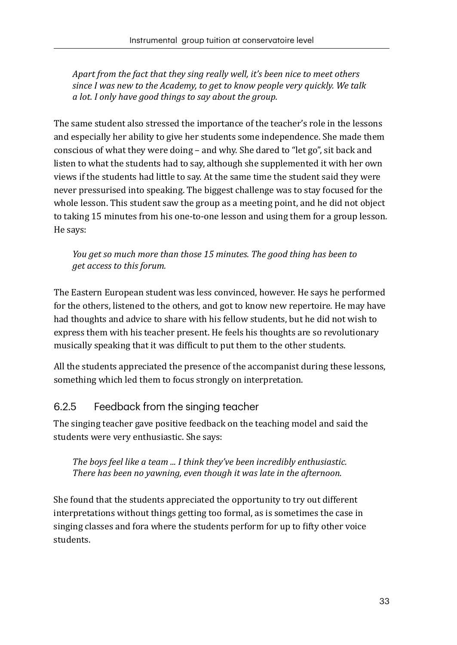<span id="page-33-0"></span>*Apart from the fact that they sing really well, it's been nice to meet others since I was new to the Academy, to get to know people very quickly. We talk a lot. I only have good things to say about the group.*

The same student also stressed the importance of the teacher's role in the lessons and especially her ability to give her students some independence. She made them conscious of what they were doing – and why. She dared to "let go", sit back and listen to what the students had to say, although she supplemented it with her own views if the students had little to say. At the same time the student said they were never pressurised into speaking. The biggest challenge was to stay focused for the whole lesson. This student saw the group as a meeting point, and he did not object to taking 15 minutes from his one-to-one lesson and using them for a group lesson. He says:

*You get so much more than those 15 minutes. The good thing has been to get access to this forum.*

The Eastern European student was less convinced, however. He says he performed for the others, listened to the others, and got to know new repertoire. He may have had thoughts and advice to share with his fellow students, but he did not wish to express them with his teacher present. He feels his thoughts are so revolutionary musically speaking that it was difficult to put them to the other students.

All the students appreciated the presence of the accompanist during these lessons, something which led them to focus strongly on interpretation.

#### 6.2.5 Feedback from the singing teacher

The singing teacher gave positive feedback on the teaching model and said the students were very enthusiastic. She says:

*The boys feel like a team ... I think they've been incredibly enthusiastic. There has been no yawning, even though it was late in the afternoon.*

She found that the students appreciated the opportunity to try out different interpretations without things getting too formal, as is sometimes the case in singing classes and fora where the students perform for up to fifty other voice students.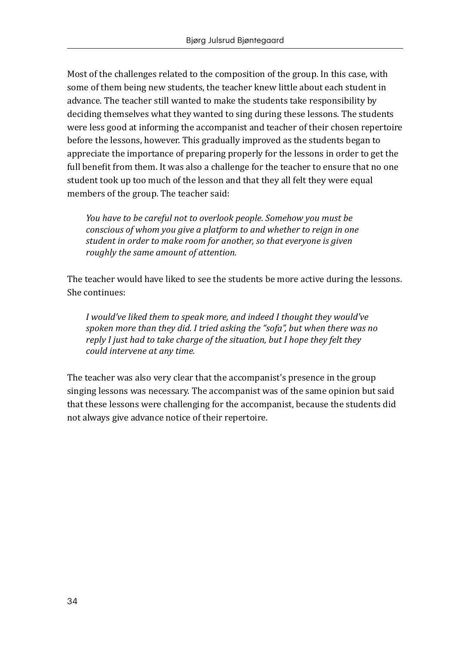Most of the challenges related to the composition of the group. In this case, with some of them being new students, the teacher knew little about each student in advance. The teacher still wanted to make the students take responsibility by deciding themselves what they wanted to sing during these lessons. The students were less good at informing the accompanist and teacher of their chosen repertoire before the lessons, however. This gradually improved as the students began to appreciate the importance of preparing properly for the lessons in order to get the full benefit from them. It was also a challenge for the teacher to ensure that no one student took up too much of the lesson and that they all felt they were equal members of the group. The teacher said:

*You have to be careful not to overlook people. Somehow you must be conscious of whom you give a platform to and whether to reign in one student in order to make room for another, so that everyone is given roughly the same amount of attention.*

The teacher would have liked to see the students be more active during the lessons. She continues:

*I would've liked them to speak more, and indeed I thought they would've spoken more than they did. I tried asking the "sofa", but when there was no reply I just had to take charge of the situation, but I hope they felt they could intervene at any time.*

The teacher was also very clear that the accompanist's presence in the group singing lessons was necessary. The accompanist was of the same opinion but said that these lessons were challenging for the accompanist, because the students did not always give advance notice of their repertoire.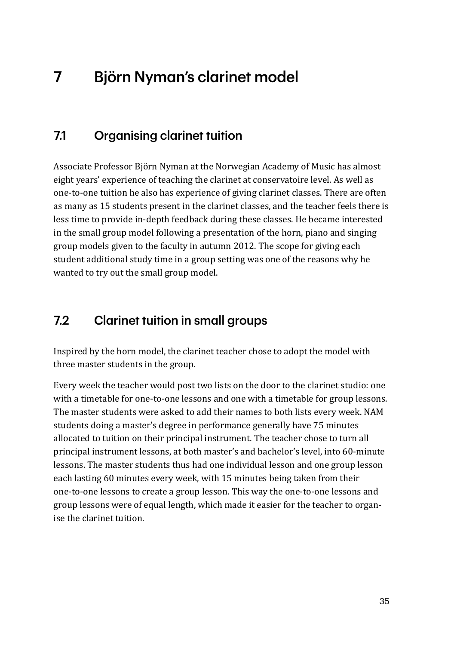# <span id="page-35-0"></span>7 Björn Nyman's clarinet model

## 7.1 Organising clarinet tuition

Associate Professor Björn Nyman at the Norwegian Academy of Music has almost eight years' experience of teaching the clarinet at conservatoire level. As well as one-to-one tuition he also has experience of giving clarinet classes. There are often as many as 15 students present in the clarinet classes, and the teacher feels there is less time to provide in-depth feedback during these classes. He became interested in the small group model following a presentation of the horn, piano and singing group models given to the faculty in autumn 2012. The scope for giving each student additional study time in a group setting was one of the reasons why he wanted to try out the small group model.

## 7.2 Clarinet tuition in small groups

Inspired by the horn model, the clarinet teacher chose to adopt the model with three master students in the group.

Every week the teacher would post two lists on the door to the clarinet studio: one with a timetable for one-to-one lessons and one with a timetable for group lessons. The master students were asked to add their names to both lists every week. NAM students doing a master's degree in performance generally have 75 minutes allocated to tuition on their principal instrument. The teacher chose to turn all principal instrument lessons, at both master's and bachelor's level, into 60-minute lessons. The master students thus had one individual lesson and one group lesson each lasting 60 minutes every week, with 15 minutes being taken from their one-to-one lessons to create a group lesson. This way the one-to-one lessons and group lessons were of equal length, which made it easier for the teacher to organise the clarinet tuition.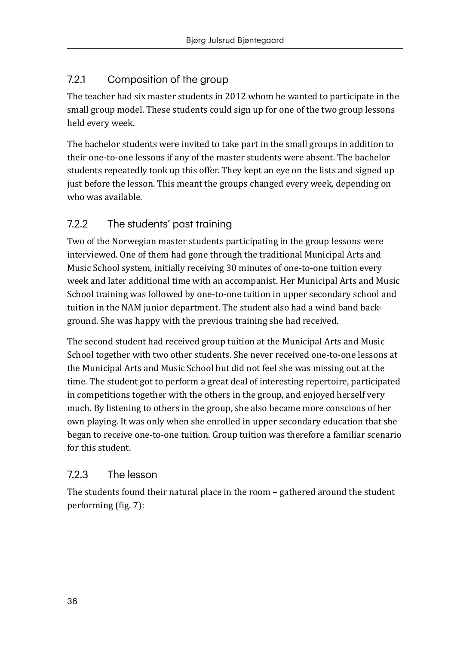## 7.2.1 Composition of the group

The teacher had six master students in 2012 whom he wanted to participate in the small group model. These students could sign up for one of the two group lessons held every week.

The bachelor students were invited to take part in the small groups in addition to their one-to-one lessons if any of the master students were absent. The bachelor students repeatedly took up this offer. They kept an eye on the lists and signed up just before the lesson. This meant the groups changed every week, depending on who was available.

## 7.2.2 The students' past training

Two of the Norwegian master students participating in the group lessons were interviewed. One of them had gone through the traditional Municipal Arts and Music School system, initially receiving 30 minutes of one-to-one tuition every week and later additional time with an accompanist. Her Municipal Arts and Music School training was followed by one-to-one tuition in upper secondary school and tuition in the NAM junior department. The student also had a wind band background. She was happy with the previous training she had received.

The second student had received group tuition at the Municipal Arts and Music School together with two other students. She never received one-to-one lessons at the Municipal Arts and Music School but did not feel she was missing out at the time. The student got to perform a great deal of interesting repertoire, participated in competitions together with the others in the group, and enjoyed herself very much. By listening to others in the group, she also became more conscious of her own playing. It was only when she enrolled in upper secondary education that she began to receive one-to-one tuition. Group tuition was therefore a familiar scenario for this student.

## 7.2.3 The lesson

The students found their natural place in the room – gathered around the student performing (fig. 7):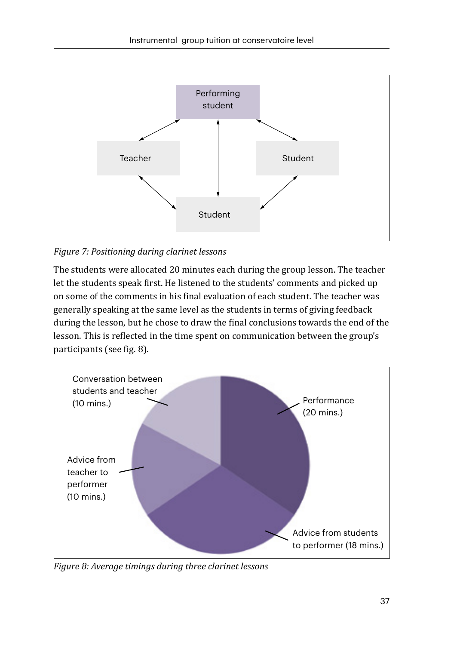

*Figure 7: Positioning during clarinet lessons* 

The students were allocated 20 minutes each during the group lesson. The teacher let the students speak first. He listened to the students' comments and picked up on some of the comments in his final evaluation of each student. The teacher was generally speaking at the same level as the students in terms of giving feedback during the lesson, but he chose to draw the final conclusions towards the end of the lesson. This is reflected in the time spent on communication between the group's participants (see fig. 8).



*Figure 8: Average timings during three clarinet lessons*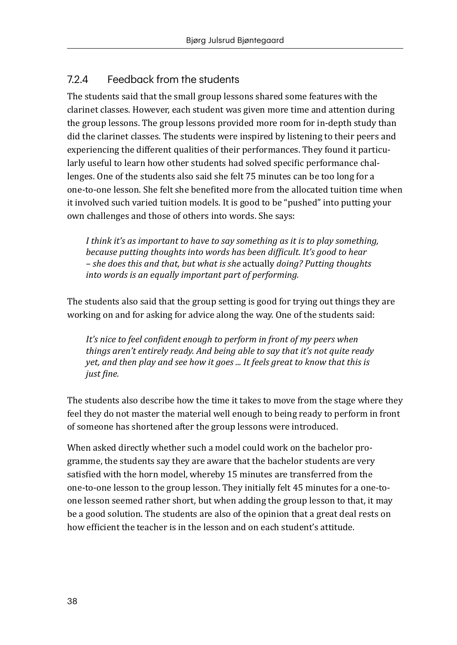## 7.2.4 Feedback from the students

The students said that the small group lessons shared some features with the clarinet classes. However, each student was given more time and attention during the group lessons. The group lessons provided more room for in-depth study than did the clarinet classes. The students were inspired by listening to their peers and experiencing the different qualities of their performances. They found it particularly useful to learn how other students had solved specific performance challenges. One of the students also said she felt 75 minutes can be too long for a one-to-one lesson. She felt she benefited more from the allocated tuition time when it involved such varied tuition models. It is good to be "pushed" into putting your own challenges and those of others into words. She says:

*I think it's as important to have to say something as it is to play something, because putting thoughts into words has been difficult. It's good to hear – she does this and that, but what is she* actually *doing? Putting thoughts into words is an equally important part of performing.* 

The students also said that the group setting is good for trying out things they are working on and for asking for advice along the way. One of the students said:

It's nice to feel confident enough to perform in front of my peers when *things aren't entirely ready. And being able to say that it's not quite ready yet, and then play and see how it goes ... It feels great to know that this is just fine.*

The students also describe how the time it takes to move from the stage where they feel they do not master the material well enough to being ready to perform in front of someone has shortened after the group lessons were introduced.

When asked directly whether such a model could work on the bachelor programme, the students say they are aware that the bachelor students are very satisfied with the horn model, whereby 15 minutes are transferred from the one-to-one lesson to the group lesson. They initially felt 45 minutes for a one-toone lesson seemed rather short, but when adding the group lesson to that, it may be a good solution. The students are also of the opinion that a great deal rests on how efficient the teacher is in the lesson and on each student's attitude.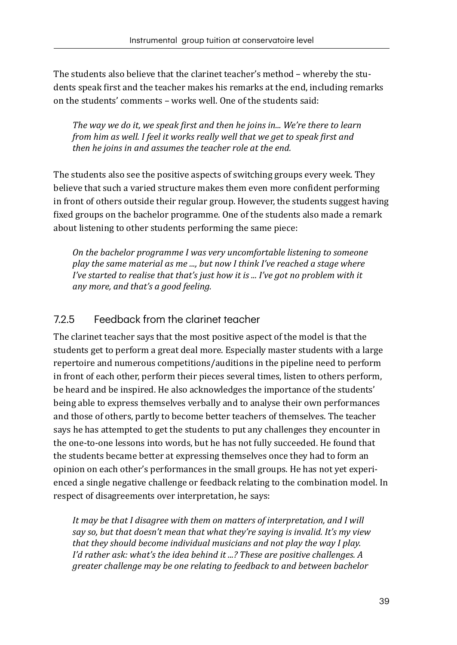The students also believe that the clarinet teacher's method – whereby the students speak first and the teacher makes his remarks at the end, including remarks on the students' comments – works well. One of the students said:

*The way we do it, we speak first and then he joins in... We're there to learn from him as well. I feel it works really well that we get to speak first and then he joins in and assumes the teacher role at the end.* 

The students also see the positive aspects of switching groups every week. They believe that such a varied structure makes them even more confident performing in front of others outside their regular group. However, the students suggest having fixed groups on the bachelor programme. One of the students also made a remark about listening to other students performing the same piece:

*On the bachelor programme I was very uncomfortable listening to someone play the same material as me ..., but now I think I've reached a stage where I've started to realise that that's just how it is ... I've got no problem with it any more, and that's a good feeling.* 

#### 7.2.5 Feedback from the clarinet teacher

The clarinet teacher says that the most positive aspect of the model is that the students get to perform a great deal more. Especially master students with a large repertoire and numerous competitions/auditions in the pipeline need to perform in front of each other, perform their pieces several times, listen to others perform, be heard and be inspired. He also acknowledges the importance of the students' being able to express themselves verbally and to analyse their own performances and those of others, partly to become better teachers of themselves. The teacher says he has attempted to get the students to put any challenges they encounter in the one-to-one lessons into words, but he has not fully succeeded. He found that the students became better at expressing themselves once they had to form an opinion on each other's performances in the small groups. He has not yet experienced a single negative challenge or feedback relating to the combination model. In respect of disagreements over interpretation, he says:

*It may be that I disagree with them on matters of interpretation, and I will say so, but that doesn't mean that what they're saying is invalid. It's my view that they should become individual musicians and not play the way I play. I'd rather ask: what's the idea behind it ...? These are positive challenges. A greater challenge may be one relating to feedback to and between bachelor*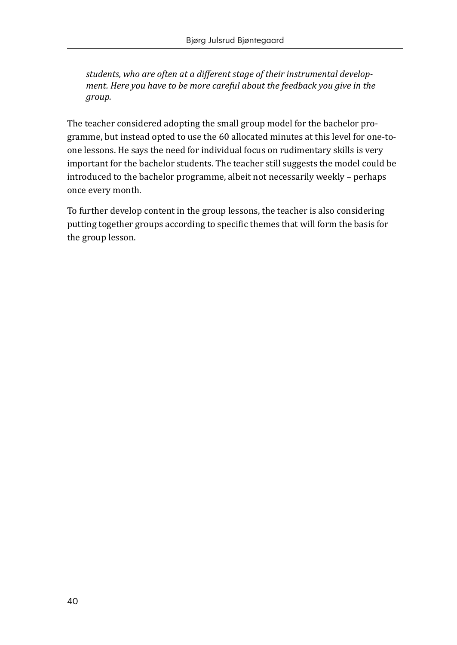*students, who are often at a different stage of their instrumental development. Here you have to be more careful about the feedback you give in the group.* 

The teacher considered adopting the small group model for the bachelor programme, but instead opted to use the 60 allocated minutes at this level for one-toone lessons. He says the need for individual focus on rudimentary skills is very important for the bachelor students. The teacher still suggests the model could be introduced to the bachelor programme, albeit not necessarily weekly – perhaps once every month.

To further develop content in the group lessons, the teacher is also considering putting together groups according to specific themes that will form the basis for the group lesson.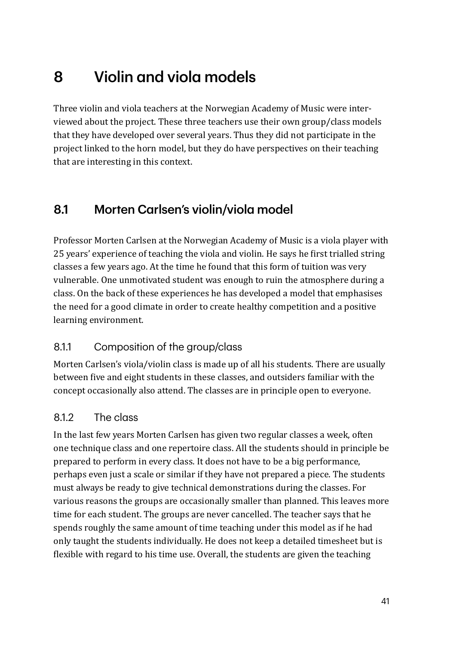# 8 Violin and viola models

Three violin and viola teachers at the Norwegian Academy of Music were interviewed about the project. These three teachers use their own group/class models that they have developed over several years. Thus they did not participate in the project linked to the horn model, but they do have perspectives on their teaching that are interesting in this context.

## 8.1 Morten Carlsen's violin/viola model

Professor Morten Carlsen at the Norwegian Academy of Music is a viola player with 25 years' experience of teaching the viola and violin. He says he first trialled string classes a few years ago. At the time he found that this form of tuition was very vulnerable. One unmotivated student was enough to ruin the atmosphere during a class. On the back of these experiences he has developed a model that emphasises the need for a good climate in order to create healthy competition and a positive learning environment.

## 8.1.1 Composition of the group/class

Morten Carlsen's viola/violin class is made up of all his students. There are usually between five and eight students in these classes, and outsiders familiar with the concept occasionally also attend. The classes are in principle open to everyone.

## 8.1.2 The class

In the last few years Morten Carlsen has given two regular classes a week, often one technique class and one repertoire class. All the students should in principle be prepared to perform in every class. It does not have to be a big performance, perhaps even just a scale or similar if they have not prepared a piece. The students must always be ready to give technical demonstrations during the classes. For various reasons the groups are occasionally smaller than planned. This leaves more time for each student. The groups are never cancelled. The teacher says that he spends roughly the same amount of time teaching under this model as if he had only taught the students individually. He does not keep a detailed timesheet but is flexible with regard to his time use. Overall, the students are given the teaching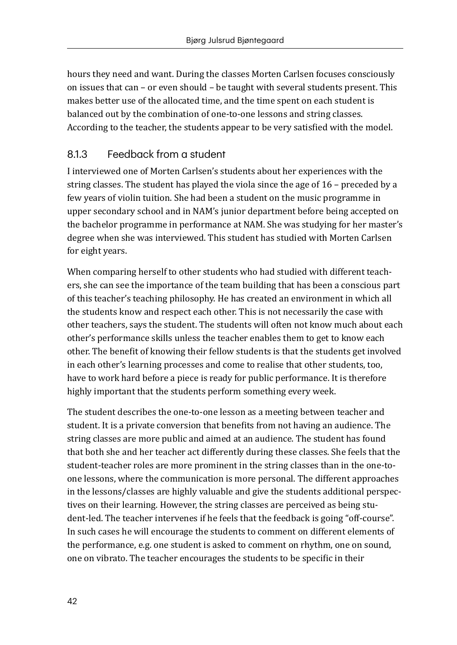hours they need and want. During the classes Morten Carlsen focuses consciously on issues that can – or even should – be taught with several students present. This makes better use of the allocated time, and the time spent on each student is balanced out by the combination of one-to-one lessons and string classes. According to the teacher, the students appear to be very satisfied with the model.

## 8.1.3 Feedback from a student

I interviewed one of Morten Carlsen's students about her experiences with the string classes. The student has played the viola since the age of 16 – preceded by a few years of violin tuition. She had been a student on the music programme in upper secondary school and in NAM's junior department before being accepted on the bachelor programme in performance at NAM. She was studying for her master's degree when she was interviewed. This student has studied with Morten Carlsen for eight years.

When comparing herself to other students who had studied with different teachers, she can see the importance of the team building that has been a conscious part of this teacher's teaching philosophy. He has created an environment in which all the students know and respect each other. This is not necessarily the case with other teachers, says the student. The students will often not know much about each other's performance skills unless the teacher enables them to get to know each other. The benefit of knowing their fellow students is that the students get involved in each other's learning processes and come to realise that other students, too, have to work hard before a piece is ready for public performance. It is therefore highly important that the students perform something every week.

The student describes the one-to-one lesson as a meeting between teacher and student. It is a private conversion that benefits from not having an audience. The string classes are more public and aimed at an audience. The student has found that both she and her teacher act differently during these classes. She feels that the student-teacher roles are more prominent in the string classes than in the one-toone lessons, where the communication is more personal. The different approaches in the lessons/classes are highly valuable and give the students additional perspectives on their learning. However, the string classes are perceived as being student-led. The teacher intervenes if he feels that the feedback is going "off-course". In such cases he will encourage the students to comment on different elements of the performance, e.g. one student is asked to comment on rhythm, one on sound, one on vibrato. The teacher encourages the students to be specific in their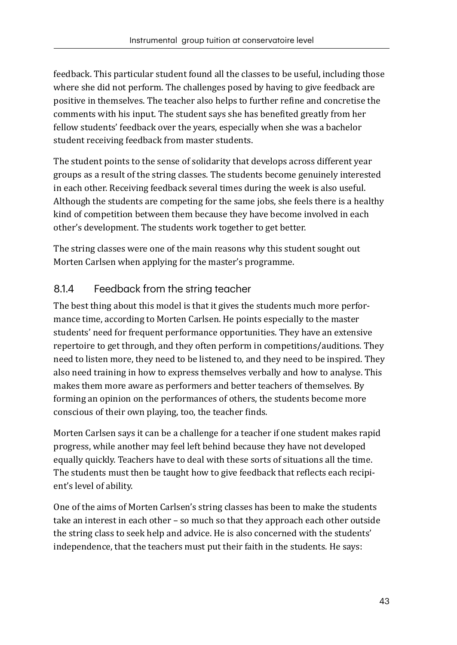feedback. This particular student found all the classes to be useful, including those where she did not perform. The challenges posed by having to give feedback are positive in themselves. The teacher also helps to further refine and concretise the comments with his input. The student says she has benefited greatly from her fellow students' feedback over the years, especially when she was a bachelor student receiving feedback from master students.

The student points to the sense of solidarity that develops across different year groups as a result of the string classes. The students become genuinely interested in each other. Receiving feedback several times during the week is also useful. Although the students are competing for the same jobs, she feels there is a healthy kind of competition between them because they have become involved in each other's development. The students work together to get better.

The string classes were one of the main reasons why this student sought out Morten Carlsen when applying for the master's programme.

## 8.1.4 Feedback from the string teacher

The best thing about this model is that it gives the students much more performance time, according to Morten Carlsen. He points especially to the master students' need for frequent performance opportunities. They have an extensive repertoire to get through, and they often perform in competitions/auditions. They need to listen more, they need to be listened to, and they need to be inspired. They also need training in how to express themselves verbally and how to analyse. This makes them more aware as performers and better teachers of themselves. By forming an opinion on the performances of others, the students become more conscious of their own playing, too, the teacher finds.

Morten Carlsen says it can be a challenge for a teacher if one student makes rapid progress, while another may feel left behind because they have not developed equally quickly. Teachers have to deal with these sorts of situations all the time. The students must then be taught how to give feedback that reflects each recipient's level of ability.

One of the aims of Morten Carlsen's string classes has been to make the students take an interest in each other – so much so that they approach each other outside the string class to seek help and advice. He is also concerned with the students' independence, that the teachers must put their faith in the students. He says: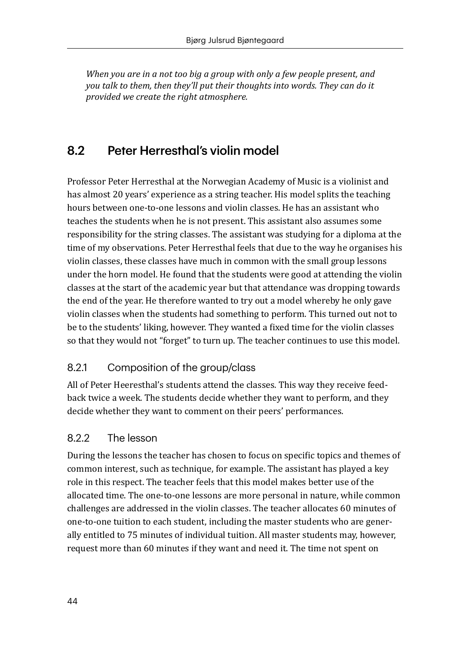*When you are in a not too big a group with only a few people present, and you talk to them, then they'll put their thoughts into words. They can do it provided we create the right atmosphere.* 

## 8.2 Peter Herresthal's violin model

Professor Peter Herresthal at the Norwegian Academy of Music is a violinist and has almost 20 years' experience as a string teacher. His model splits the teaching hours between one-to-one lessons and violin classes. He has an assistant who teaches the students when he is not present. This assistant also assumes some responsibility for the string classes. The assistant was studying for a diploma at the time of my observations. Peter Herresthal feels that due to the way he organises his violin classes, these classes have much in common with the small group lessons under the horn model. He found that the students were good at attending the violin classes at the start of the academic year but that attendance was dropping towards the end of the year. He therefore wanted to try out a model whereby he only gave violin classes when the students had something to perform. This turned out not to be to the students' liking, however. They wanted a fixed time for the violin classes so that they would not "forget" to turn up. The teacher continues to use this model.

## 8.2.1 Composition of the group/class

All of Peter Heeresthal's students attend the classes. This way they receive feedback twice a week. The students decide whether they want to perform, and they decide whether they want to comment on their peers' performances.

#### 8.2.2 The lesson

During the lessons the teacher has chosen to focus on specific topics and themes of common interest, such as technique, for example. The assistant has played a key role in this respect. The teacher feels that this model makes better use of the allocated time. The one-to-one lessons are more personal in nature, while common challenges are addressed in the violin classes. The teacher allocates 60 minutes of one-to-one tuition to each student, including the master students who are generally entitled to 75 minutes of individual tuition. All master students may, however, request more than 60 minutes if they want and need it. The time not spent on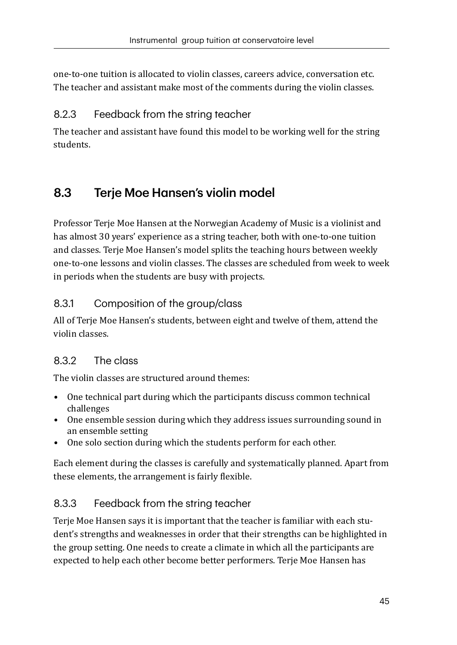one-to-one tuition is allocated to violin classes, careers advice, conversation etc. The teacher and assistant make most of the comments during the violin classes.

## 8.2.3 Feedback from the string teacher

The teacher and assistant have found this model to be working well for the string students.

## 8.3 Terje Moe Hansen's violin model

Professor Terje Moe Hansen at the Norwegian Academy of Music is a violinist and has almost 30 years' experience as a string teacher, both with one-to-one tuition and classes. Terje Moe Hansen's model splits the teaching hours between weekly one-to-one lessons and violin classes. The classes are scheduled from week to week in periods when the students are busy with projects.

## 8.3.1 Composition of the group/class

All of Terje Moe Hansen's students, between eight and twelve of them, attend the violin classes.

#### 8.3.2 The class

The violin classes are structured around themes:

- *•* One technical part during which the participants discuss common technical challenges
- *•* One ensemble session during which they address issues surrounding sound in an ensemble setting
- *•* One solo section during which the students perform for each other.

Each element during the classes is carefully and systematically planned. Apart from these elements, the arrangement is fairly flexible.

## 8.3.3 Feedback from the string teacher

Terje Moe Hansen says it is important that the teacher is familiar with each student's strengths and weaknesses in order that their strengths can be highlighted in the group setting. One needs to create a climate in which all the participants are expected to help each other become better performers. Terje Moe Hansen has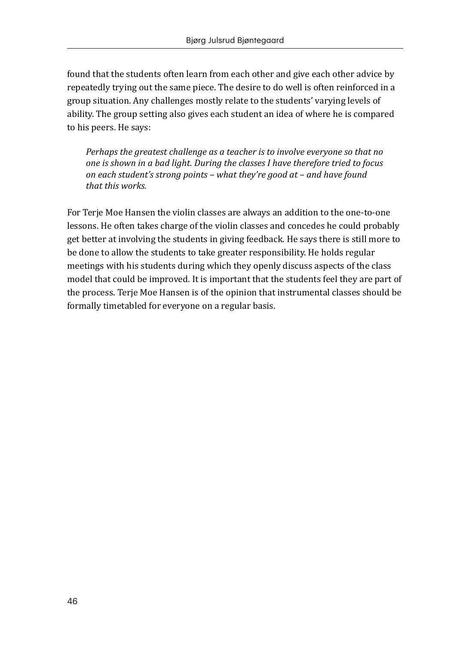found that the students often learn from each other and give each other advice by repeatedly trying out the same piece. The desire to do well is often reinforced in a group situation. Any challenges mostly relate to the students' varying levels of ability. The group setting also gives each student an idea of where he is compared to his peers. He says:

*Perhaps the greatest challenge as a teacher is to involve everyone so that no one is shown in a bad light. During the classes I have therefore tried to focus on each student's strong points – what they're good at – and have found that this works.* 

For Terje Moe Hansen the violin classes are always an addition to the one-to-one lessons. He often takes charge of the violin classes and concedes he could probably get better at involving the students in giving feedback. He says there is still more to be done to allow the students to take greater responsibility. He holds regular meetings with his students during which they openly discuss aspects of the class model that could be improved. It is important that the students feel they are part of the process. Terje Moe Hansen is of the opinion that instrumental classes should be formally timetabled for everyone on a regular basis.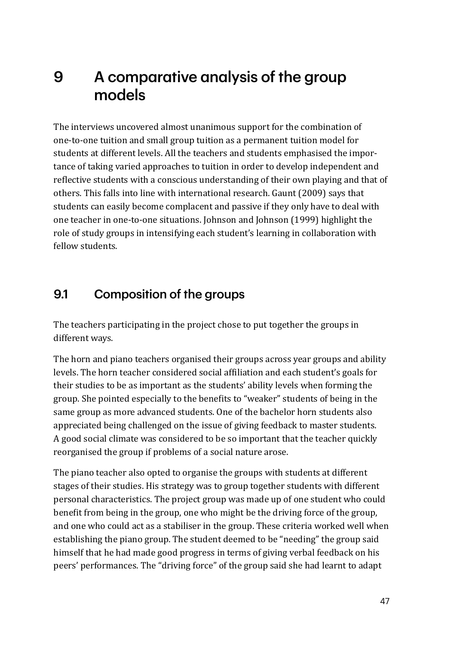# 9 A comparative analysis of the group models

The interviews uncovered almost unanimous support for the combination of one-to-one tuition and small group tuition as a permanent tuition model for students at different levels. All the teachers and students emphasised the importance of taking varied approaches to tuition in order to develop independent and reflective students with a conscious understanding of their own playing and that of others. This falls into line with international research. Gaunt (2009) says that students can easily become complacent and passive if they only have to deal with one teacher in one-to-one situations. Johnson and Johnson (1999) highlight the role of study groups in intensifying each student's learning in collaboration with fellow students.

## 9.1 Composition of the groups

The teachers participating in the project chose to put together the groups in different ways.

The horn and piano teachers organised their groups across year groups and ability levels. The horn teacher considered social affiliation and each student's goals for their studies to be as important as the students' ability levels when forming the group. She pointed especially to the benefits to "weaker" students of being in the same group as more advanced students. One of the bachelor horn students also appreciated being challenged on the issue of giving feedback to master students. A good social climate was considered to be so important that the teacher quickly reorganised the group if problems of a social nature arose.

The piano teacher also opted to organise the groups with students at different stages of their studies. His strategy was to group together students with different personal characteristics. The project group was made up of one student who could benefit from being in the group, one who might be the driving force of the group, and one who could act as a stabiliser in the group. These criteria worked well when establishing the piano group. The student deemed to be "needing" the group said himself that he had made good progress in terms of giving verbal feedback on his peers' performances. The "driving force" of the group said she had learnt to adapt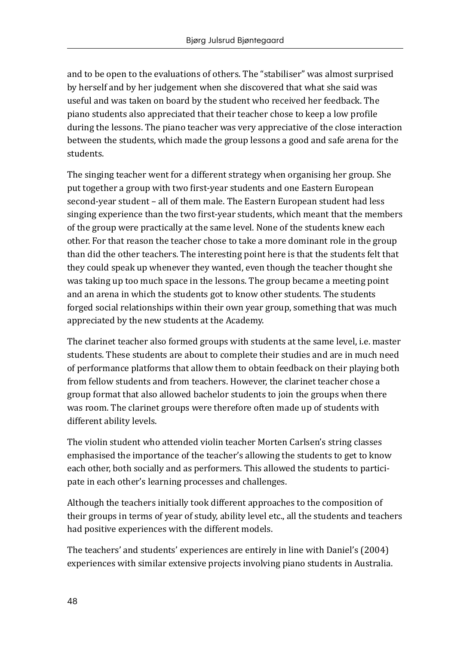and to be open to the evaluations of others. The "stabiliser" was almost surprised by herself and by her judgement when she discovered that what she said was useful and was taken on board by the student who received her feedback. The piano students also appreciated that their teacher chose to keep a low profile during the lessons. The piano teacher was very appreciative of the close interaction between the students, which made the group lessons a good and safe arena for the students.

The singing teacher went for a different strategy when organising her group. She put together a group with two first-year students and one Eastern European second-year student – all of them male. The Eastern European student had less singing experience than the two first-year students, which meant that the members of the group were practically at the same level. None of the students knew each other. For that reason the teacher chose to take a more dominant role in the group than did the other teachers. The interesting point here is that the students felt that they could speak up whenever they wanted, even though the teacher thought she was taking up too much space in the lessons. The group became a meeting point and an arena in which the students got to know other students. The students forged social relationships within their own year group, something that was much appreciated by the new students at the Academy.

The clarinet teacher also formed groups with students at the same level, i.e. master students. These students are about to complete their studies and are in much need of performance platforms that allow them to obtain feedback on their playing both from fellow students and from teachers. However, the clarinet teacher chose a group format that also allowed bachelor students to join the groups when there was room. The clarinet groups were therefore often made up of students with different ability levels.

The violin student who attended violin teacher Morten Carlsen's string classes emphasised the importance of the teacher's allowing the students to get to know each other, both socially and as performers. This allowed the students to participate in each other's learning processes and challenges.

Although the teachers initially took different approaches to the composition of their groups in terms of year of study, ability level etc., all the students and teachers had positive experiences with the different models.

The teachers' and students' experiences are entirely in line with Daniel's (2004) experiences with similar extensive projects involving piano students in Australia.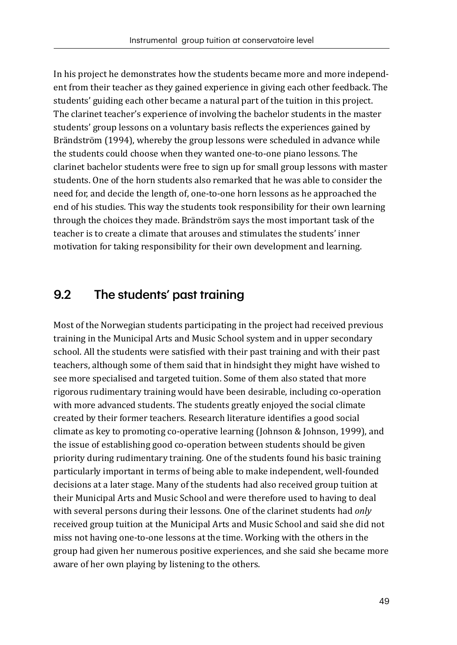In his project he demonstrates how the students became more and more independent from their teacher as they gained experience in giving each other feedback. The students' guiding each other became a natural part of the tuition in this project. The clarinet teacher's experience of involving the bachelor students in the master students' group lessons on a voluntary basis reflects the experiences gained by Brändström (1994), whereby the group lessons were scheduled in advance while the students could choose when they wanted one-to-one piano lessons. The clarinet bachelor students were free to sign up for small group lessons with master students. One of the horn students also remarked that he was able to consider the need for, and decide the length of, one-to-one horn lessons as he approached the end of his studies. This way the students took responsibility for their own learning through the choices they made. Brändström says the most important task of the teacher is to create a climate that arouses and stimulates the students' inner motivation for taking responsibility for their own development and learning.

## 9.2 The students' past training

Most of the Norwegian students participating in the project had received previous training in the Municipal Arts and Music School system and in upper secondary school. All the students were satisfied with their past training and with their past teachers, although some of them said that in hindsight they might have wished to see more specialised and targeted tuition. Some of them also stated that more rigorous rudimentary training would have been desirable, including co-operation with more advanced students. The students greatly enjoyed the social climate created by their former teachers. Research literature identifies a good social climate as key to promoting co-operative learning (Johnson & Johnson, 1999), and the issue of establishing good co-operation between students should be given priority during rudimentary training. One of the students found his basic training particularly important in terms of being able to make independent, well-founded decisions at a later stage. Many of the students had also received group tuition at their Municipal Arts and Music School and were therefore used to having to deal with several persons during their lessons. One of the clarinet students had *only* received group tuition at the Municipal Arts and Music School and said she did not miss not having one-to-one lessons at the time. Working with the others in the group had given her numerous positive experiences, and she said she became more aware of her own playing by listening to the others.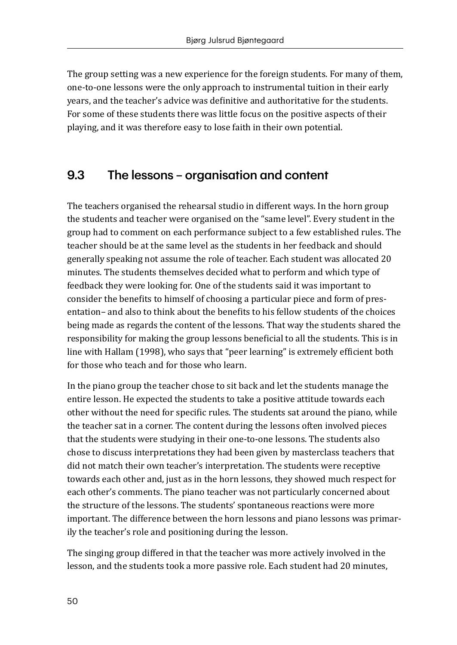The group setting was a new experience for the foreign students. For many of them, one-to-one lessons were the only approach to instrumental tuition in their early years, and the teacher's advice was definitive and authoritative for the students. For some of these students there was little focus on the positive aspects of their playing, and it was therefore easy to lose faith in their own potential.

## 9.3 The lessons – organisation and content

The teachers organised the rehearsal studio in different ways. In the horn group the students and teacher were organised on the "same level". Every student in the group had to comment on each performance subject to a few established rules. The teacher should be at the same level as the students in her feedback and should generally speaking not assume the role of teacher. Each student was allocated 20 minutes. The students themselves decided what to perform and which type of feedback they were looking for. One of the students said it was important to consider the benefits to himself of choosing a particular piece and form of presentation– and also to think about the benefits to his fellow students of the choices being made as regards the content of the lessons. That way the students shared the responsibility for making the group lessons beneficial to all the students. This is in line with Hallam (1998), who says that "peer learning" is extremely efficient both for those who teach and for those who learn.

In the piano group the teacher chose to sit back and let the students manage the entire lesson. He expected the students to take a positive attitude towards each other without the need for specific rules. The students sat around the piano, while the teacher sat in a corner. The content during the lessons often involved pieces that the students were studying in their one-to-one lessons. The students also chose to discuss interpretations they had been given by masterclass teachers that did not match their own teacher's interpretation. The students were receptive towards each other and, just as in the horn lessons, they showed much respect for each other's comments. The piano teacher was not particularly concerned about the structure of the lessons. The students' spontaneous reactions were more important. The difference between the horn lessons and piano lessons was primarily the teacher's role and positioning during the lesson.

The singing group differed in that the teacher was more actively involved in the lesson, and the students took a more passive role. Each student had 20 minutes,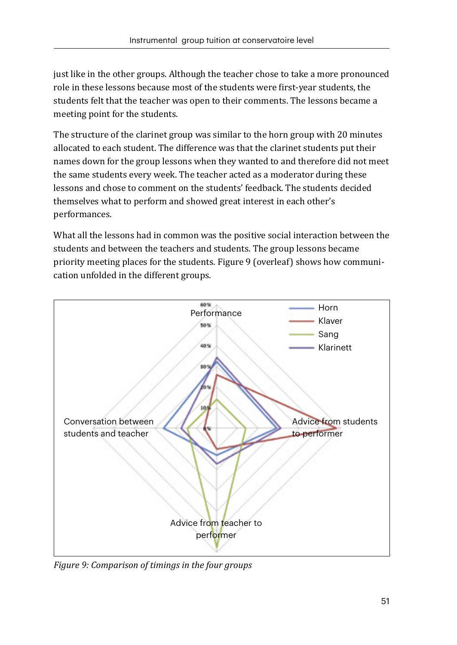just like in the other groups. Although the teacher chose to take a more pronounced role in these lessons because most of the students were first-year students, the students felt that the teacher was open to their comments. The lessons became a meeting point for the students.

The structure of the clarinet group was similar to the horn group with 20 minutes allocated to each student. The difference was that the clarinet students put their names down for the group lessons when they wanted to and therefore did not meet the same students every week. The teacher acted as a moderator during these lessons and chose to comment on the students' feedback. The students decided themselves what to perform and showed great interest in each other's performances.

What all the lessons had in common was the positive social interaction between the students and between the teachers and students. The group lessons became priority meeting places for the students. Figure 9 (overleaf) shows how communication unfolded in the different groups.



*Figure 9: Comparison of timings in the four groups*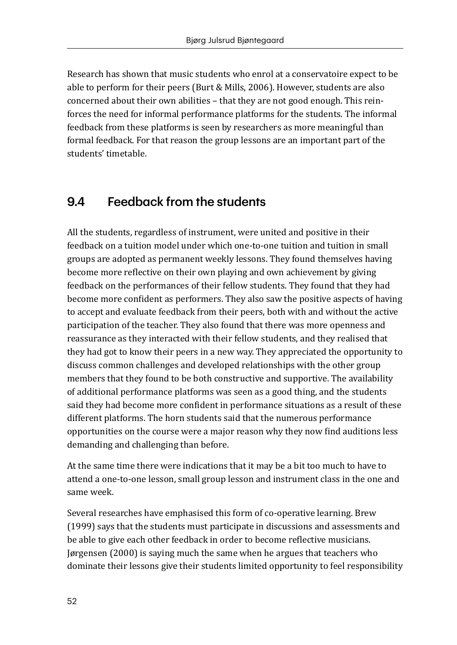Research has shown that music students who enrol at a conservatoire expect to be able to perform for their peers (Burt & Mills, 2006). However, students are also concerned about their own abilities – that they are not good enough. This reinforces the need for informal performance platforms for the students. The informal feedback from these platforms is seen by researchers as more meaningful than formal feedback. For that reason the group lessons are an important part of the students' timetable.

## 9.4 Feedback from the students

All the students, regardless of instrument, were united and positive in their feedback on a tuition model under which one-to-one tuition and tuition in small groups are adopted as permanent weekly lessons. They found themselves having become more reflective on their own playing and own achievement by giving feedback on the performances of their fellow students. They found that they had become more confident as performers. They also saw the positive aspects of having to accept and evaluate feedback from their peers, both with and without the active participation of the teacher. They also found that there was more openness and reassurance as they interacted with their fellow students, and they realised that they had got to know their peers in a new way. They appreciated the opportunity to discuss common challenges and developed relationships with the other group members that they found to be both constructive and supportive. The availability of additional performance platforms was seen as a good thing, and the students said they had become more confident in performance situations as a result of these different platforms. The horn students said that the numerous performance opportunities on the course were a major reason why they now find auditions less demanding and challenging than before.

At the same time there were indications that it may be a bit too much to have to attend a one-to-one lesson, small group lesson and instrument class in the one and same week.

Several researches have emphasised this form of co-operative learning. Brew (1999) says that the students must participate in discussions and assessments and be able to give each other feedback in order to become reflective musicians. Jørgensen (2000) is saying much the same when he argues that teachers who dominate their lessons give their students limited opportunity to feel responsibility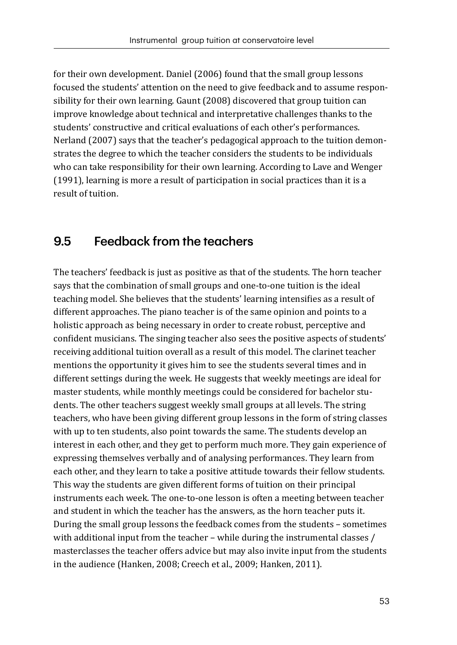for their own development. Daniel (2006) found that the small group lessons focused the students' attention on the need to give feedback and to assume responsibility for their own learning. Gaunt (2008) discovered that group tuition can improve knowledge about technical and interpretative challenges thanks to the students' constructive and critical evaluations of each other's performances. Nerland (2007) says that the teacher's pedagogical approach to the tuition demonstrates the degree to which the teacher considers the students to be individuals who can take responsibility for their own learning. According to Lave and Wenger (1991), learning is more a result of participation in social practices than it is a result of tuition.

## 9.5 Feedback from the teachers

The teachers' feedback is just as positive as that of the students. The horn teacher says that the combination of small groups and one-to-one tuition is the ideal teaching model. She believes that the students' learning intensifies as a result of different approaches. The piano teacher is of the same opinion and points to a holistic approach as being necessary in order to create robust, perceptive and confident musicians. The singing teacher also sees the positive aspects of students' receiving additional tuition overall as a result of this model. The clarinet teacher mentions the opportunity it gives him to see the students several times and in different settings during the week. He suggests that weekly meetings are ideal for master students, while monthly meetings could be considered for bachelor students. The other teachers suggest weekly small groups at all levels. The string teachers, who have been giving different group lessons in the form of string classes with up to ten students, also point towards the same. The students develop an interest in each other, and they get to perform much more. They gain experience of expressing themselves verbally and of analysing performances. They learn from each other, and they learn to take a positive attitude towards their fellow students. This way the students are given different forms of tuition on their principal instruments each week. The one-to-one lesson is often a meeting between teacher and student in which the teacher has the answers, as the horn teacher puts it. During the small group lessons the feedback comes from the students – sometimes with additional input from the teacher – while during the instrumental classes / masterclasses the teacher offers advice but may also invite input from the students in the audience (Hanken, 2008; Creech et al., 2009; Hanken, 2011).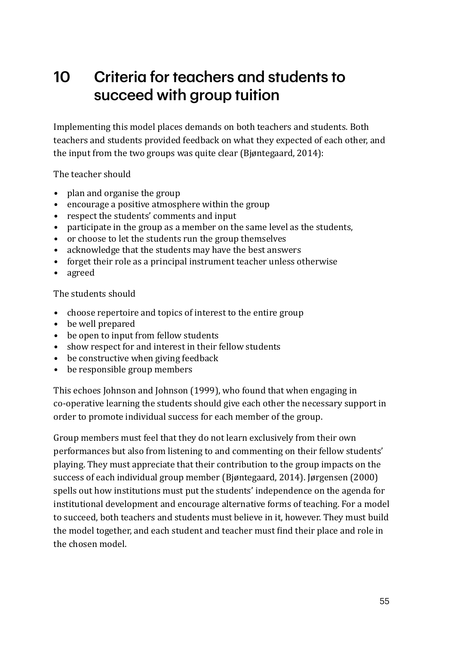# 10 Criteria for teachers and students to succeed with group tuition

Implementing this model places demands on both teachers and students. Both teachers and students provided feedback on what they expected of each other, and the input from the two groups was quite clear (Bjøntegaard, 2014):

The teacher should

- *•* plan and organise the group
- *•* encourage a positive atmosphere within the group
- *•* respect the students' comments and input
- *•* participate in the group as a member on the same level as the students,
- or choose to let the students run the group themselves<br>• acknowledge that the students may have the hest answ
- acknowledge that the students may have the best answers<br>• forget their role as a principal instrument teacher unless of
- *•* forget their role as a principal instrument teacher unless otherwise
- *•* agreed

The students should

- *•* choose repertoire and topics of interest to the entire group
- *•* be well prepared
- *•* be open to input from fellow students
- *•* show respect for and interest in their fellow students
- *•* be constructive when giving feedback
- *•* be responsible group members

This echoes Johnson and Johnson (1999), who found that when engaging in co-operative learning the students should give each other the necessary support in order to promote individual success for each member of the group.

Group members must feel that they do not learn exclusively from their own performances but also from listening to and commenting on their fellow students' playing. They must appreciate that their contribution to the group impacts on the success of each individual group member (Bjøntegaard, 2014). Jørgensen (2000) spells out how institutions must put the students' independence on the agenda for institutional development and encourage alternative forms of teaching. For a model to succeed, both teachers and students must believe in it, however. They must build the model together, and each student and teacher must find their place and role in the chosen model.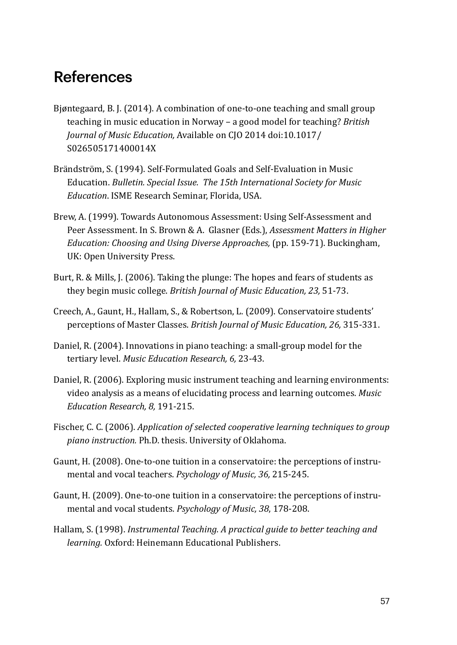# References

- Bjøntegaard, B. J. (2014). A combination of one-to-one teaching and small group teaching in music education in Norway – a good model for teaching? *British Journal of Music Education,* Available on CJO 2014 doi:10.1017/ S026505171400014X
- Brändström, S. (1994). Self-Formulated Goals and Self-Evaluation in Music Education. *Bulletin. Special Issue. The 15th International Society for Music Education*. ISME Research Seminar, Florida, USA.
- Brew, A. (1999). Towards Autonomous Assessment: Using Self-Assessment and Peer Assessment. In S. Brown & A. Glasner (Eds.), *Assessment Matters in Higher Education: Choosing and Using Diverse Approaches,* (pp. 159-71). Buckingham, UK: Open University Press.
- Burt, R. & Mills, J. (2006). Taking the plunge: The hopes and fears of students as they begin music college. *British Journal of Music Education, 23,* 51-73.
- Creech, A., Gaunt, H., Hallam, S., & Robertson, L. (2009). Conservatoire students' perceptions of Master Classes. *British Journal of Music Education, 26,* 315-331.
- Daniel, R. (2004). Innovations in piano teaching: a small-group model for the tertiary level. *Music Education Research, 6,* 23-43.
- Daniel, R. (2006). Exploring music instrument teaching and learning environments: video analysis as a means of elucidating process and learning outcomes. *Music Education Research, 8,* 191-215.
- Fischer, C. C. (2006). *Application of selected cooperative learning techniques to group piano instruction.* Ph.D. thesis. University of Oklahoma.
- Gaunt, H. (2008). One-to-one tuition in a conservatoire: the perceptions of instrumental and vocal teachers. *Psychology of Music, 36,* 215-245.
- Gaunt, H. (2009). One-to-one tuition in a conservatoire: the perceptions of instrumental and vocal students. *Psychology of Music, 38*, 178-208.
- Hallam, S. (1998). *Instrumental Teaching. A practical guide to better teaching and learning.* Oxford: Heinemann Educational Publishers.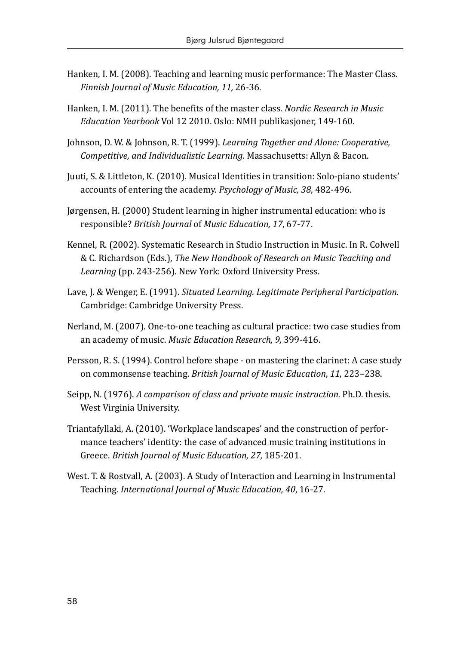- Hanken, I. M. (2008). Teaching and learning music performance: The Master Class. *Finnish Journal of Music Education, 11,* 26-36.
- Hanken, I. M. (2011). The benefits of the master class. *Nordic Research in Music Education Yearbook* Vol 12 2010. Oslo: NMH publikasjoner, 149-160.
- Johnson, D. W. & Johnson, R. T. (1999). *Learning Together and Alone: Cooperative, Competitive, and Individualistic Learning.* Massachusetts: Allyn & Bacon.
- Juuti, S. & Littleton, K. (2010). Musical Identities in transition: Solo-piano students' accounts of entering the academy. *Psychology of Music, 38*, 482-496.
- Jørgensen, H. (2000) Student learning in higher instrumental education: who is responsible? *British Journal* of *Music Education, 17*, 67-77.
- Kennel, R. (2002). Systematic Research in Studio Instruction in Music. In R. Colwell & C. Richardson (Eds.), *The New Handbook of Research on Music Teaching and Learning* (pp. 243-256)*.* New York: Oxford University Press.
- Lave, J. & Wenger, E. (1991). *Situated Learning. Legitimate Peripheral Participation.*  Cambridge: Cambridge University Press.
- Nerland, M. (2007). One-to-one teaching as cultural practice: two case studies from an academy of music. *Music Education Research, 9,* 399-416.
- Persson, R. S. (1994). Control before shape on mastering the clarinet: A case study on commonsense teaching. *British Journal of Music Education*, *11*, 223–238.
- Seipp, N. (1976). *A comparison of class and private music instruction.* Ph.D. thesis. West Virginia University.
- Triantafyllaki, A. (2010). 'Workplace landscapes' and the construction of performance teachers' identity: the case of advanced music training institutions in Greece. *British Journal of Music Education, 27,* 185-201.
- West. T. & Rostvall, A. (2003). A Study of Interaction and Learning in Instrumental Teaching. *International Journal of Music Education, 40*, 16-27.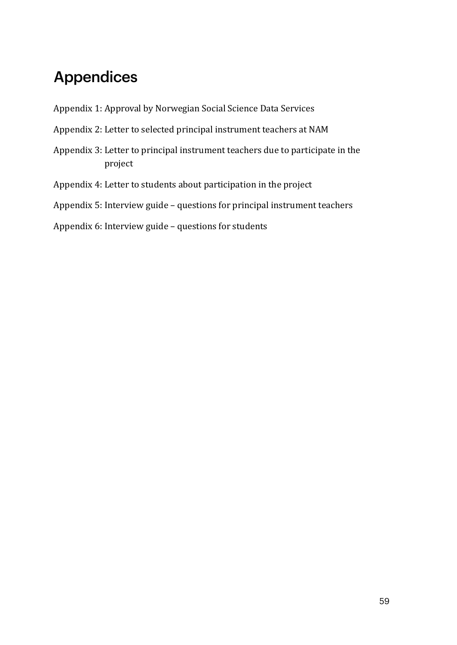# Appendices

- Appendix 1: Approval by Norwegian Social Science Data Services
- Appendix 2: Letter to selected principal instrument teachers at NAM
- Appendix 3: Letter to principal instrument teachers due to participate in the project
- Appendix 4: Letter to students about participation in the project
- Appendix 5: Interview guide questions for principal instrument teachers

Appendix 6: Interview guide – questions for students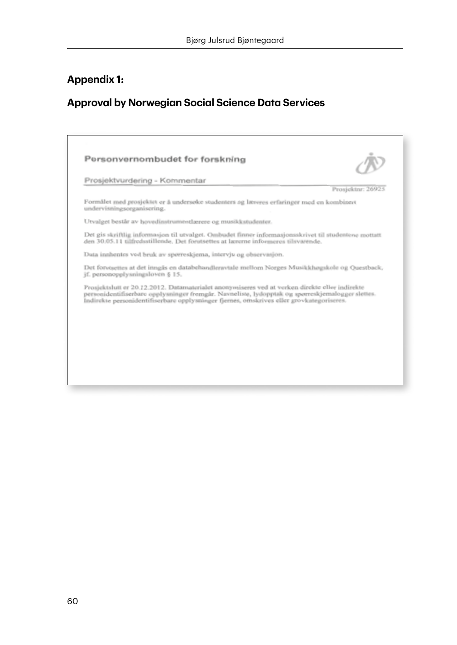## **Appendix 1:**

# **Approval by Norwegian Social Science Data Services**

|                            | Prosjektvurdering - Kommentar                                                                                                                                                                                                                                                                  |                   |
|----------------------------|------------------------------------------------------------------------------------------------------------------------------------------------------------------------------------------------------------------------------------------------------------------------------------------------|-------------------|
|                            |                                                                                                                                                                                                                                                                                                | Prosjektnr: 26925 |
| undervisningsorganisering. | Formålet med prosjektet er å undersøke studenters og læreres erfaringer med en kombinert                                                                                                                                                                                                       |                   |
|                            | Utvalget består av hovedinstrumentlærere og musikkstudenter.                                                                                                                                                                                                                                   |                   |
|                            | Det gis skriftlig informasjon til utvalget. Ombadet finner informasjonsskrivet til studentene mottatt<br>den 30.05.11 tilfredustillende. Det forutsettes at lærerne informeres tilsvarende.                                                                                                    |                   |
|                            | Data innhentes ved bruk av spørreskjema, intervju og observasjon.                                                                                                                                                                                                                              |                   |
|                            | Det forutsettes at det inngås en databehandleravtale mellom Norges Musikkhøgskole og Questback,<br>jf. personopplysningsloven § 15.                                                                                                                                                            |                   |
|                            | Prosjektslutt er 20.12.2012. Datamaterialet anonymiseres ved at verken direkte eller indirekte<br>personidentifiserbare opplysninger fremgår. Navneliste, lydopptak og spørreskjemalogger slettes.<br>Indirekte personidentifiserbare opplysninger fjernes, omskrives eller grovkategoriseres. |                   |
|                            |                                                                                                                                                                                                                                                                                                |                   |
|                            |                                                                                                                                                                                                                                                                                                |                   |
|                            |                                                                                                                                                                                                                                                                                                |                   |
|                            |                                                                                                                                                                                                                                                                                                |                   |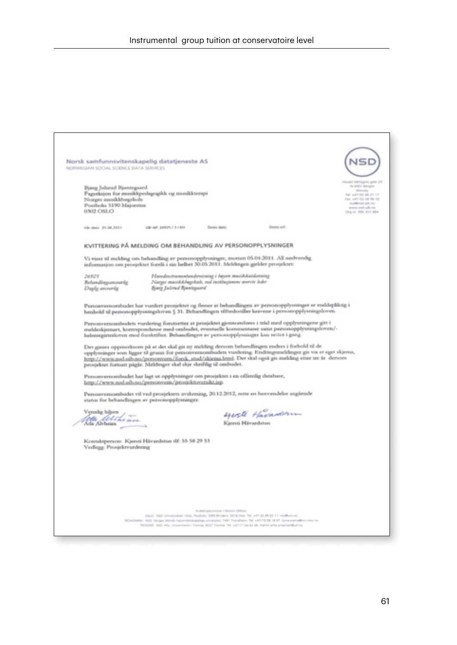Norsk samfunnsvitenskapelig datatjeneste AS **NSD** NORWEGIAN SOCIAL SCIENCE DATA SERVICES and relictagent game 218 Ding Julered Biontegued Pagseksion for musikkpedagogikk og musikksespi be agons to it to Norges monkkbagskole Find with OA 54 06 52 Postboks 5190 Majoritus www.red.ub.to 0302 C6LO Valued 20025737491 Via deta. 01.06.3011 **Parson clots: Down and** KVITTERING PÅ MELDING OM BEHANDLING AV PERSONOPPLYSNINGER Vi viser til melding om behandling av personopplysninger, mottatt 05.04.2011. All nedvendig informasjon om prosjektet forellt i sin belhet 30.05.2011. Meldingen gjelder prosjektet: Havedovirumentendoniosing i bøyere musikkatslavning<br>Narger musikkbøgskab, må institusjonens øverste leder 26925 Behandingsanswerig Dayly annovis Bing Julend Bindepard Personvernombudet har vurdert prosjektet og finner at behandlingen av personopplysninger er meldepliktig i<br>henhold til personopplysningsloven 5 31. Behandlingen tilfredsstiller kravene i personopplysningsloven. Personversombudets vardering forutsetter at prosjektet gjennomføres i trild med opplysningene gitt i<br>meldeskjernaet, komrepondanse med ombudet, eventuelle kommentarer samt psesonopplysningsforen/-<br>helsengjunnloven med fors Det gjoors oppmerksom på at det skal gis op molding densom behandlingen endres i forhold til de<br>opplysninger som ligger til grann for personvennombodets vurdering. Endringsmeldinger gis vis et eget skjerna,<br>http://www.nad. prosjektet fortsatt pågår. Meldinger skal skje skriftlig til ombudet. Personvernombudet har lagt ut opplysninger om prosjektet i en offentlig database,<br>http://new.nad.ulb.no./personvern./prosjektoversikt.jsp. Pessonvernombadet vil ved prosjektets avslutning, 20.12.2012, seme en henvendelse anglende status for behandlingen av personopplysninger. squesti Havandorm.<br>Konsistendorm Vennig hijom fette filst he wee Kontaktperson: Kjersti Hävardston d<br/>f: 55 58 29 53 Vedlegg: Prosjektvardering  $\label{eq:2.1} \begin{minipage}{0.9\textwidth} \begin{minipage}{0.9\textwidth} \begin{minipage}{0.9\textwidth} \begin{minipage}{0.9\textwidth} \begin{minipage}{0.9\textwidth} \begin{minipage}{0.9\textwidth} \begin{minipage}{0.9\textwidth} \begin{minipage}{0.9\textwidth} \begin{minipage}{0.9\textwidth} \begin{minipage}{0.9\textwidth} \begin{minipage}{0.9\textwidth} \begin{minipage}{0.9\textwidth} \begin{minipage}{0.9\textwidth} \begin{minipage}{0.9\textwidth} \begin{minipage}{0.9\textwidth} \$ **County**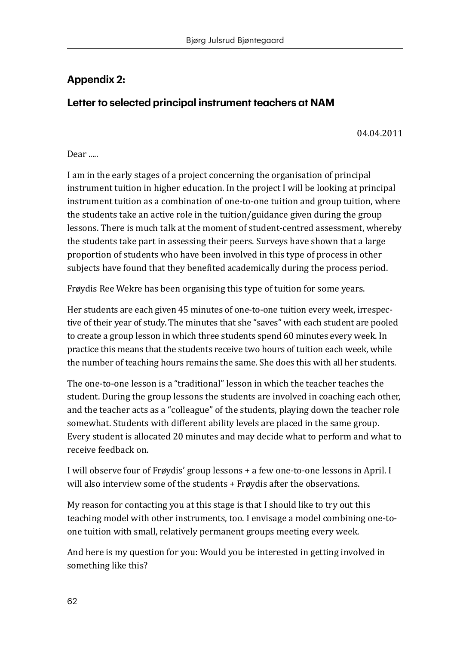## **Appendix 2:**

## **Letter to selected principal instrument teachers at NAM**

04.04.2011

#### Dear ...

I am in the early stages of a project concerning the organisation of principal instrument tuition in higher education. In the project I will be looking at principal instrument tuition as a combination of one-to-one tuition and group tuition, where the students take an active role in the tuition/guidance given during the group lessons. There is much talk at the moment of student-centred assessment, whereby the students take part in assessing their peers. Surveys have shown that a large proportion of students who have been involved in this type of process in other subjects have found that they benefited academically during the process period.

Frøydis Ree Wekre has been organising this type of tuition for some years.

Her students are each given 45 minutes of one-to-one tuition every week, irrespective of their year of study. The minutes that she "saves" with each student are pooled to create a group lesson in which three students spend 60 minutes every week. In practice this means that the students receive two hours of tuition each week, while the number of teaching hours remains the same. She does this with all her students.

The one-to-one lesson is a "traditional" lesson in which the teacher teaches the student. During the group lessons the students are involved in coaching each other, and the teacher acts as a "colleague" of the students, playing down the teacher role somewhat. Students with different ability levels are placed in the same group. Every student is allocated 20 minutes and may decide what to perform and what to receive feedback on.

I will observe four of Frøydis' group lessons + a few one-to-one lessons in April. I will also interview some of the students + Frøydis after the observations.

My reason for contacting you at this stage is that I should like to try out this teaching model with other instruments, too. I envisage a model combining one-toone tuition with small, relatively permanent groups meeting every week.

And here is my question for you: Would you be interested in getting involved in something like this?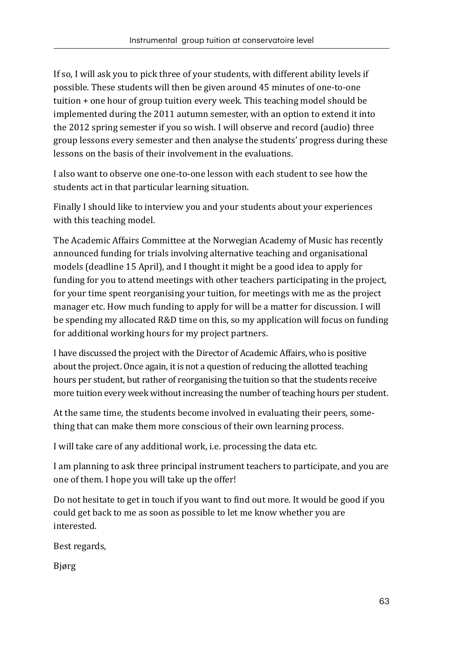If so, I will ask you to pick three of your students, with different ability levels if possible. These students will then be given around 45 minutes of one-to-one tuition + one hour of group tuition every week. This teaching model should be implemented during the 2011 autumn semester, with an option to extend it into the 2012 spring semester if you so wish. I will observe and record (audio) three group lessons every semester and then analyse the students' progress during these lessons on the basis of their involvement in the evaluations.

I also want to observe one one-to-one lesson with each student to see how the students act in that particular learning situation.

Finally I should like to interview you and your students about your experiences with this teaching model.

The Academic Affairs Committee at the Norwegian Academy of Music has recently announced funding for trials involving alternative teaching and organisational models (deadline 15 April), and I thought it might be a good idea to apply for funding for you to attend meetings with other teachers participating in the project, for your time spent reorganising your tuition, for meetings with me as the project manager etc. How much funding to apply for will be a matter for discussion. I will be spending my allocated R&D time on this, so my application will focus on funding for additional working hours for my project partners.

I have discussed the project with the Director of Academic Affairs, who is positive about the project. Once again, it is not a question of reducing the allotted teaching hours per student, but rather of reorganising the tuition so that the students receive more tuition every week without increasing the number of teaching hours per student.

At the same time, the students become involved in evaluating their peers, something that can make them more conscious of their own learning process.

I will take care of any additional work, i.e. processing the data etc.

I am planning to ask three principal instrument teachers to participate, and you are one of them. I hope you will take up the offer!

Do not hesitate to get in touch if you want to find out more. It would be good if you could get back to me as soon as possible to let me know whether you are interested.

Best regards,

Bjørg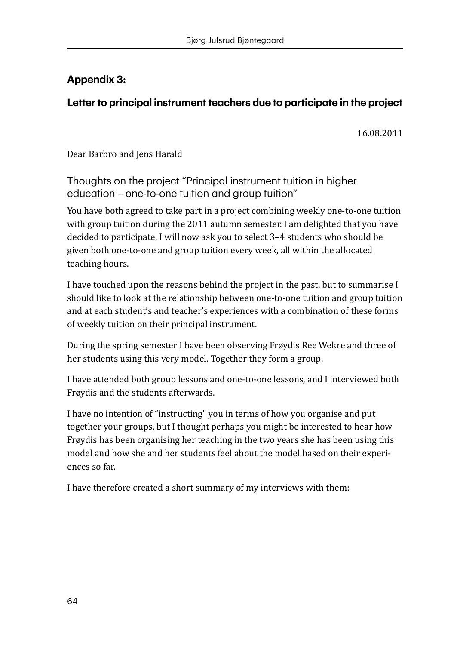## **Appendix 3:**

## **Letter to principal instrument teachers due to participate in the project**

16.08.2011

Dear Barbro and Jens Harald

Thoughts on the project "Principal instrument tuition in higher education – one-to-one tuition and group tuition"

You have both agreed to take part in a project combining weekly one-to-one tuition with group tuition during the 2011 autumn semester. I am delighted that you have decided to participate. I will now ask you to select 3–4 students who should be given both one-to-one and group tuition every week, all within the allocated teaching hours.

I have touched upon the reasons behind the project in the past, but to summarise I should like to look at the relationship between one-to-one tuition and group tuition and at each student's and teacher's experiences with a combination of these forms of weekly tuition on their principal instrument.

During the spring semester I have been observing Frøydis Ree Wekre and three of her students using this very model. Together they form a group.

I have attended both group lessons and one-to-one lessons, and I interviewed both Frøydis and the students afterwards.

I have no intention of "instructing" you in terms of how you organise and put together your groups, but I thought perhaps you might be interested to hear how Frøydis has been organising her teaching in the two years she has been using this model and how she and her students feel about the model based on their experiences so far.

I have therefore created a short summary of my interviews with them: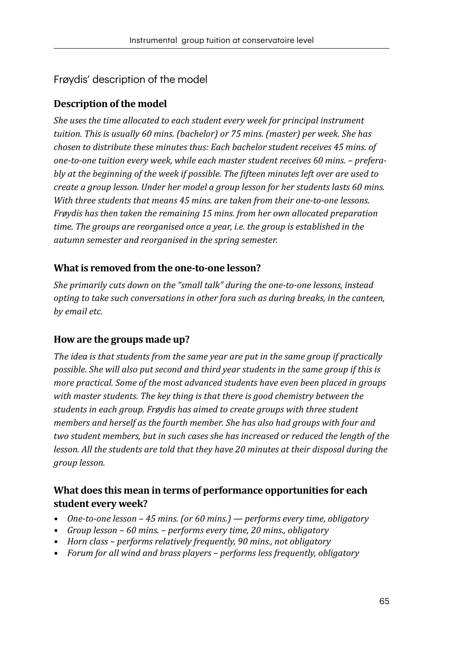#### Frøydis' description of the model

#### **Description of the model**

*She uses the time allocated to each student every week for principal instrument tuition. This is usually 60 mins. (bachelor) or 75 mins. (master) per week. She has chosen to distribute these minutes thus: Each bachelor student receives 45 mins. of one-to-one tuition every week, while each master student receives 60 mins. – preferably at the beginning of the week if possible. The fifteen minutes left over are used to create a group lesson. Under her model a group lesson for her students lasts 60 mins. With three students that means 45 mins. are taken from their one-to-one lessons. Frøydis has then taken the remaining 15 mins. from her own allocated preparation time. The groups are reorganised once a year, i.e. the group is established in the autumn semester and reorganised in the spring semester.*

#### **What is removed from the one-to-one lesson?**

*She primarily cuts down on the "small talk" during the one-to-one lessons, instead opting to take such conversations in other fora such as during breaks, in the canteen, by email etc.*

#### **How are the groups made up?**

*The idea is that students from the same year are put in the same group if practically possible. She will also put second and third year students in the same group if this is more practical. Some of the most advanced students have even been placed in groups with master students. The key thing is that there is good chemistry between the students in each group. Frøydis has aimed to create groups with three student members and herself as the fourth member. She has also had groups with four and two student members, but in such cases she has increased or reduced the length of the lesson. All the students are told that they have 20 minutes at their disposal during the group lesson.*

#### **What does this mean in terms of performance opportunities for each student every week?**

- *• One-to-one lesson 45 mins. (or 60 mins.) performs every time, obligatory*
- *• Group lesson 60 mins. performs every time, 20 mins., obligatory*
- *• Horn class performs relatively frequently, 90 mins., not obligatory*
- *• Forum for all wind and brass players performs less frequently, obligatory*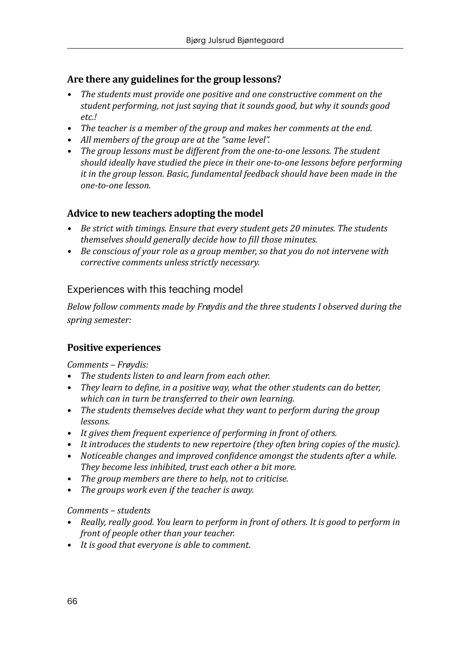#### **Are there any guidelines for the group lessons?**

- *• The students must provide one positive and one constructive comment on the student performing, not just saying that it sounds good, but why it sounds good etc.!*
- *• The teacher is a member of the group and makes her comments at the end.*
- *• All members of the group are at the "same level".*
- *• The group lessons must be different from the one-to-one lessons. The student should ideally have studied the piece in their one-to-one lessons before performing it in the group lesson. Basic, fundamental feedback should have been made in the one-to-one lesson.*

#### **Advice to new teachers adopting the model**

- *• Be strict with timings. Ensure that every student gets 20 minutes. The students themselves should generally decide how to fill those minutes.*
- *• Be conscious of your role as a group member, so that you do not intervene with corrective comments unless strictly necessary.*

#### Experiences with this teaching model

*Below follow comments made by Frøydis and the three students I observed during the spring semester:*

#### **Positive experiences**

*Comments – Frøydis:*

- *• The students listen to and learn from each other.*
- *• They learn to define, in a positive way, what the other students can do better, which can in turn be transferred to their own learning.*
- *• The students themselves decide what they want to perform during the group lessons.*
- *• It gives them frequent experience of performing in front of others.*
- *• It introduces the students to new repertoire (they often bring copies of the music).*
- *• Noticeable changes and improved confidence amongst the students after a while. They become less inhibited, trust each other a bit more.*
- *• The group members are there to help, not to criticise.*
- *• The groups work even if the teacher is away.*

#### *Comments – students*

- *• Really, really good. You learn to perform in front of others. It is good to perform in front of people other than your teacher.*
- *• It is good that everyone is able to comment.*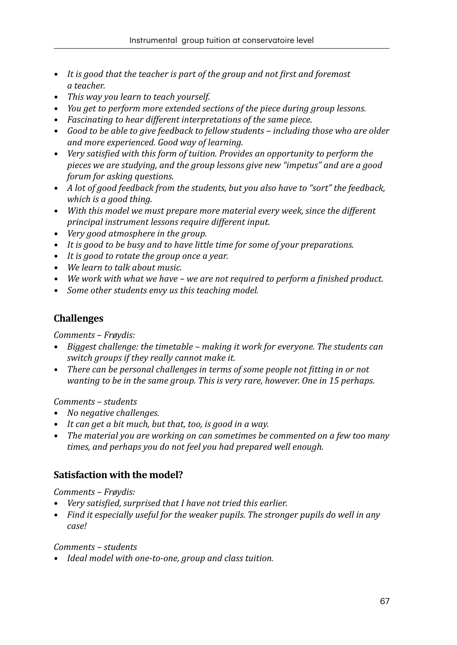- *• It is good that the teacher is part of the group and not first and foremost a teacher.*
- *• This way you learn to teach yourself.*
- *• You get to perform more extended sections of the piece during group lessons.*
- *• Fascinating to hear different interpretations of the same piece.*
- *• Good to be able to give feedback to fellow students including those who are older and more experienced. Good way of learning.*
- *• Very satisfied with this form of tuition. Provides an opportunity to perform the pieces we are studying, and the group lessons give new "impetus" and are a good forum for asking questions.*
- *• A lot of good feedback from the students, but you also have to "sort" the feedback, which is a good thing.*
- *• With this model we must prepare more material every week, since the different principal instrument lessons require different input.*
- *• Very good atmosphere in the group.*
- *• It is good to be busy and to have little time for some of your preparations.*
- *• It is good to rotate the group once a year.*
- *• We learn to talk about music.*
- *• We work with what we have we are not required to perform a finished product.*
- *• Some other students envy us this teaching model.*

#### **Challenges**

*Comments – Frøydis:*

- *• Biggest challenge: the timetable making it work for everyone. The students can switch groups if they really cannot make it.*
- *• There can be personal challenges in terms of some people not fitting in or not wanting to be in the same group. This is very rare, however. One in 15 perhaps.*

*Comments – students*

- *• No negative challenges.*
- *• It can get a bit much, but that, too, is good in a way.*
- *• The material you are working on can sometimes be commented on a few too many times, and perhaps you do not feel you had prepared well enough.*

#### **Satisfaction with the model?**

*Comments – Frøydis:*

- *• Very satisfied, surprised that I have not tried this earlier.*
- *• Find it especially useful for the weaker pupils. The stronger pupils do well in any case!*

*Comments – students*

*• Ideal model with one-to-one, group and class tuition.*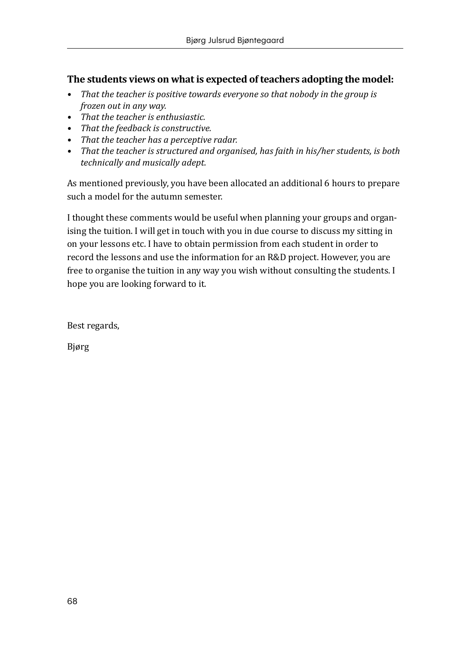#### **The students views on what is expected of teachers adopting the model:**

- *• That the teacher is positive towards everyone so that nobody in the group is frozen out in any way.*
- *• That the teacher is enthusiastic.*
- *• That the feedback is constructive.*
- *• That the teacher has a perceptive radar.*
- *• That the teacher is structured and organised, has faith in his/her students, is both technically and musically adept.*

As mentioned previously, you have been allocated an additional 6 hours to prepare such a model for the autumn semester.

I thought these comments would be useful when planning your groups and organising the tuition. I will get in touch with you in due course to discuss my sitting in on your lessons etc. I have to obtain permission from each student in order to record the lessons and use the information for an R&D project. However, you are free to organise the tuition in any way you wish without consulting the students. I hope you are looking forward to it.

Best regards,

Bjørg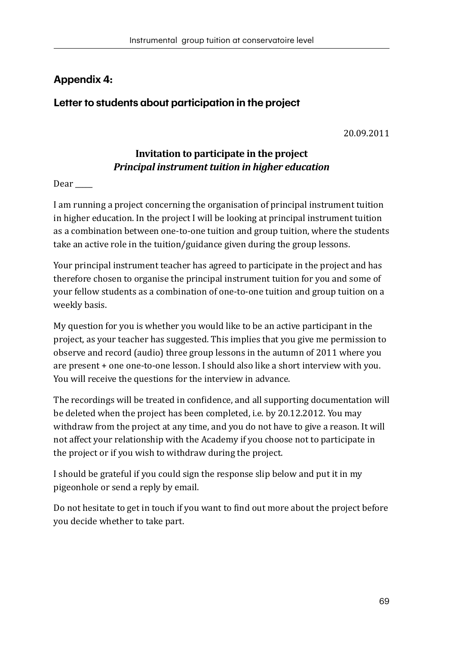## **Appendix 4:**

#### **Letter to students about participation in the project**

20.09.2011

#### **Invitation to participate in the project**  *Principal instrument tuition in higher education*

Dear  $\qquad$ 

I am running a project concerning the organisation of principal instrument tuition in higher education. In the project I will be looking at principal instrument tuition as a combination between one-to-one tuition and group tuition, where the students take an active role in the tuition/guidance given during the group lessons.

Your principal instrument teacher has agreed to participate in the project and has therefore chosen to organise the principal instrument tuition for you and some of your fellow students as a combination of one-to-one tuition and group tuition on a weekly basis.

My question for you is whether you would like to be an active participant in the project, as your teacher has suggested. This implies that you give me permission to observe and record (audio) three group lessons in the autumn of 2011 where you are present + one one-to-one lesson. I should also like a short interview with you. You will receive the questions for the interview in advance.

The recordings will be treated in confidence, and all supporting documentation will be deleted when the project has been completed, i.e. by 20.12.2012. You may withdraw from the project at any time, and you do not have to give a reason. It will not affect your relationship with the Academy if you choose not to participate in the project or if you wish to withdraw during the project.

I should be grateful if you could sign the response slip below and put it in my pigeonhole or send a reply by email.

Do not hesitate to get in touch if you want to find out more about the project before you decide whether to take part.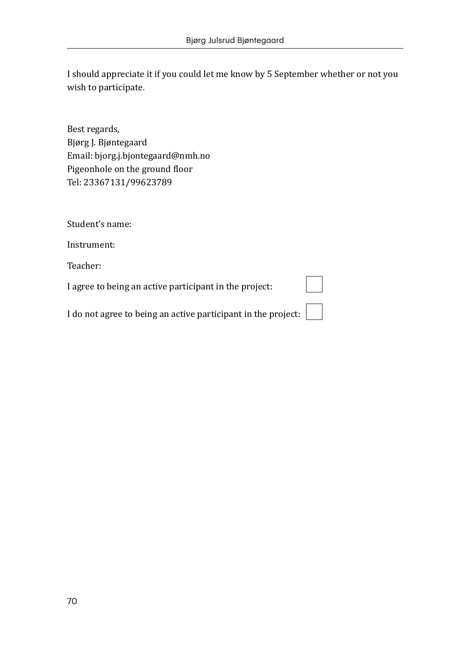I should appreciate it if you could let me know by 5 September whether or not you wish to participate.

Best regards, Bjørg J. Bjøntegaard Email: bjorg.j.bjontegaard@nmh.no Pigeonhole on the ground floor Tel: 23367131/99623789

Student's name:

Instrument:

Teacher:

I agree to being an active participant in the project:

I do not agree to being an active participant in the project: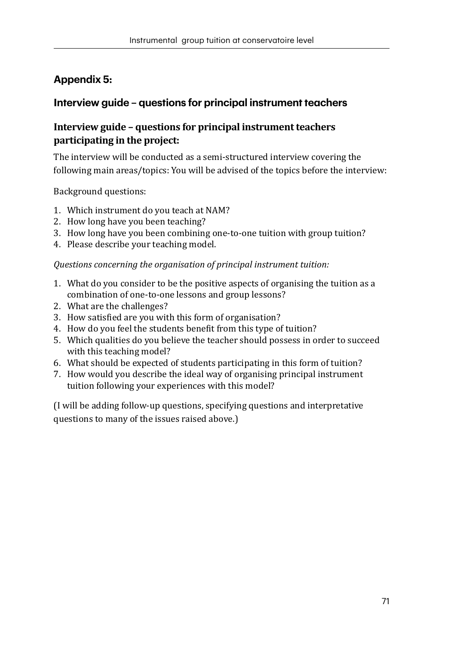## **Appendix 5:**

### **Interview guide – questions for principal instrument teachers**

#### **Interview guide – questions for principal instrument teachers participating in the project:**

The interview will be conducted as a semi-structured interview covering the following main areas/topics: You will be advised of the topics before the interview:

Background questions:

- 1. Which instrument do you teach at NAM?
- 2. How long have you been teaching?
- 3. How long have you been combining one-to-one tuition with group tuition?
- 4. Please describe your teaching model.

#### *Questions concerning the organisation of principal instrument tuition:*

- 1. What do you consider to be the positive aspects of organising the tuition as a combination of one-to-one lessons and group lessons?
- 2. What are the challenges?
- 3. How satisfied are you with this form of organisation?
- 4. How do you feel the students benefit from this type of tuition?
- 5. Which qualities do you believe the teacher should possess in order to succeed with this teaching model?
- 6. What should be expected of students participating in this form of tuition?
- 7. How would you describe the ideal way of organising principal instrument tuition following your experiences with this model?

(I will be adding follow-up questions, specifying questions and interpretative questions to many of the issues raised above.)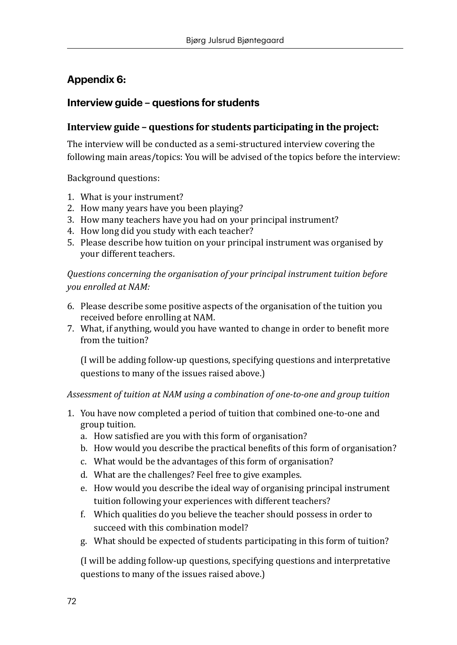## **Appendix 6:**

## **Interview guide – questions for students**

## **Interview guide – questions for students participating in the project:**

The interview will be conducted as a semi-structured interview covering the following main areas/topics: You will be advised of the topics before the interview:

Background questions:

- 1. What is your instrument?
- 2. How many years have you been playing?
- 3. How many teachers have you had on your principal instrument?
- 4. How long did you study with each teacher?
- 5. Please describe how tuition on your principal instrument was organised by your different teachers.

*Questions concerning the organisation of your principal instrument tuition before you enrolled at NAM:*

- 6. Please describe some positive aspects of the organisation of the tuition you received before enrolling at NAM.
- 7. What, if anything, would you have wanted to change in order to benefit more from the tuition?

(I will be adding follow-up questions, specifying questions and interpretative questions to many of the issues raised above.)

*Assessment of tuition at NAM using a combination of one-to-one and group tuition*

- 1. You have now completed a period of tuition that combined one-to-one and group tuition.
	- a. How satisfied are you with this form of organisation?
	- b. How would you describe the practical benefits of this form of organisation?
	- c. What would be the advantages of this form of organisation?
	- d. What are the challenges? Feel free to give examples.
	- e. How would you describe the ideal way of organising principal instrument tuition following your experiences with different teachers?
	- f. Which qualities do you believe the teacher should possess in order to succeed with this combination model?
	- g. What should be expected of students participating in this form of tuition?

(I will be adding follow-up questions, specifying questions and interpretative questions to many of the issues raised above.)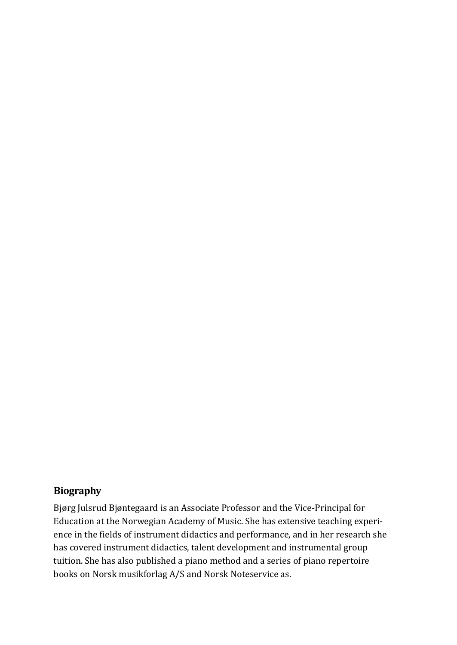## **Biography**

Bjørg Julsrud Bjøntegaard is an Associate Professor and the Vice-Principal for Education at the Norwegian Academy of Music. She has extensive teaching experience in the fields of instrument didactics and performance, and in her research she has covered instrument didactics, talent development and instrumental group tuition. She has also published a piano method and a series of piano repertoire books on Norsk musikforlag A/S and Norsk Noteservice as.